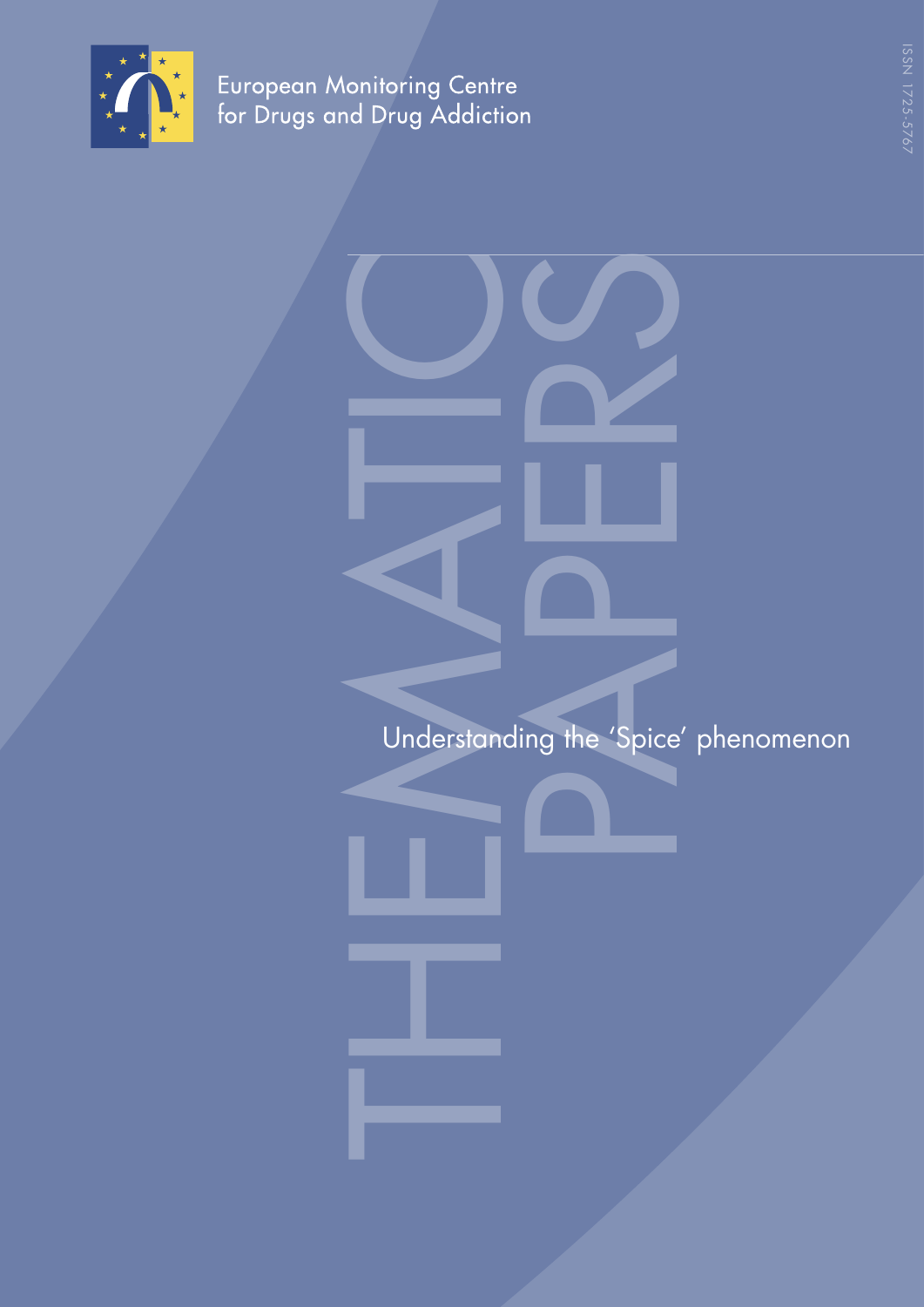

European Monitoring Centre<br>for Drugs and Drug Addiction

ISSN 1725-5767

THEMATIC PAPERS Understanding the 'Spice' phenomenon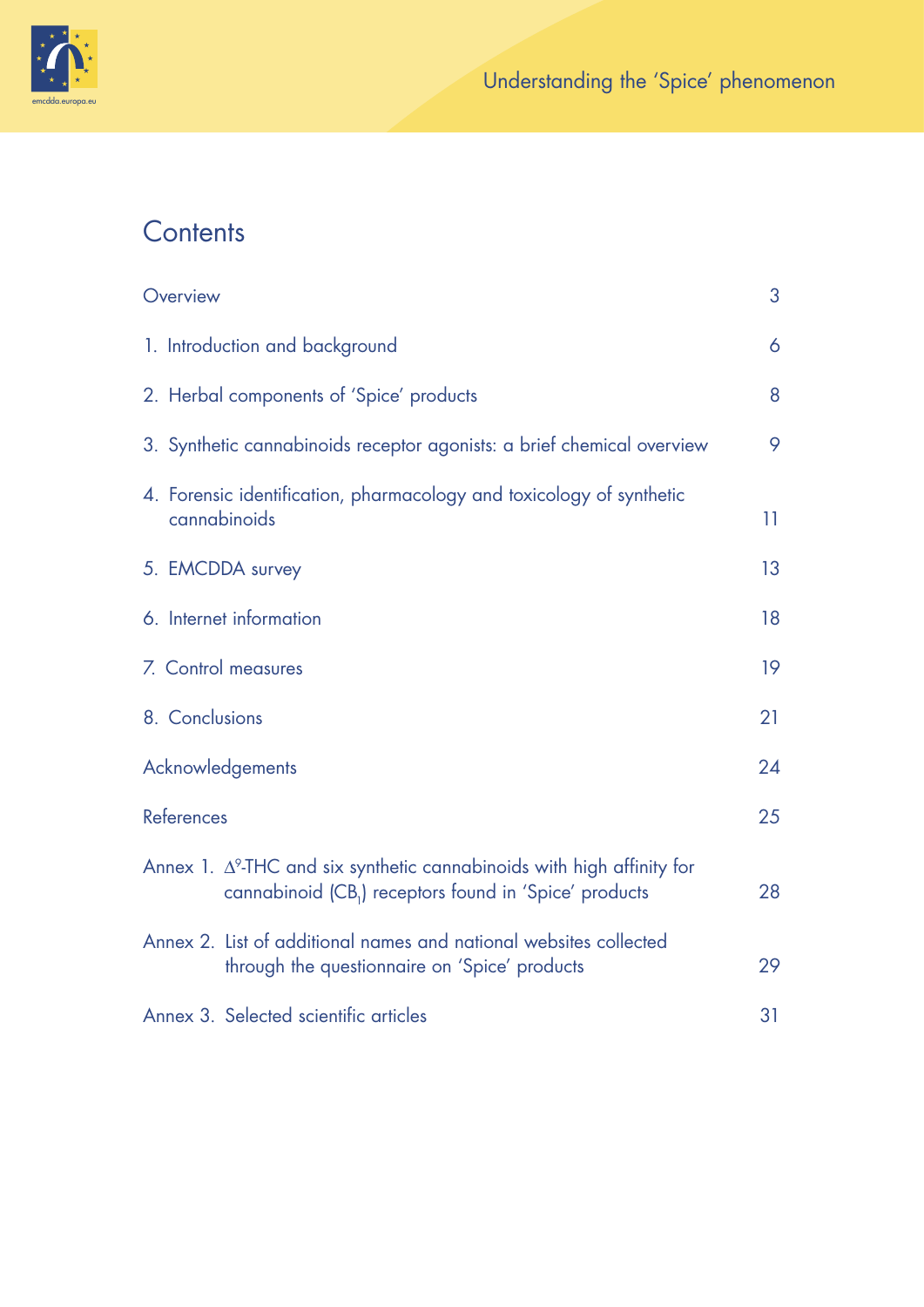

# **Contents**

| Overview                                                                                                                                             | 3  |
|------------------------------------------------------------------------------------------------------------------------------------------------------|----|
| 1. Introduction and background                                                                                                                       | 6  |
| 2. Herbal components of 'Spice' products                                                                                                             | 8  |
| 3. Synthetic cannabinoids receptor agonists: a brief chemical overview                                                                               | 9  |
| 4. Forensic identification, pharmacology and toxicology of synthetic<br>cannabinoids                                                                 | 11 |
| 5. EMCDDA survey                                                                                                                                     | 13 |
| 6. Internet information                                                                                                                              | 18 |
| 7. Control measures                                                                                                                                  | 19 |
| 8. Conclusions                                                                                                                                       | 21 |
| Acknowledgements                                                                                                                                     | 24 |
| References                                                                                                                                           | 25 |
| Annex 1. $\Delta^9$ -THC and six synthetic cannabinoids with high affinity for<br>cannabinoid (CB <sub>1</sub> ) receptors found in 'Spice' products | 28 |
| Annex 2. List of additional names and national websites collected<br>through the questionnaire on 'Spice' products                                   | 29 |
| Annex 3. Selected scientific articles                                                                                                                | 31 |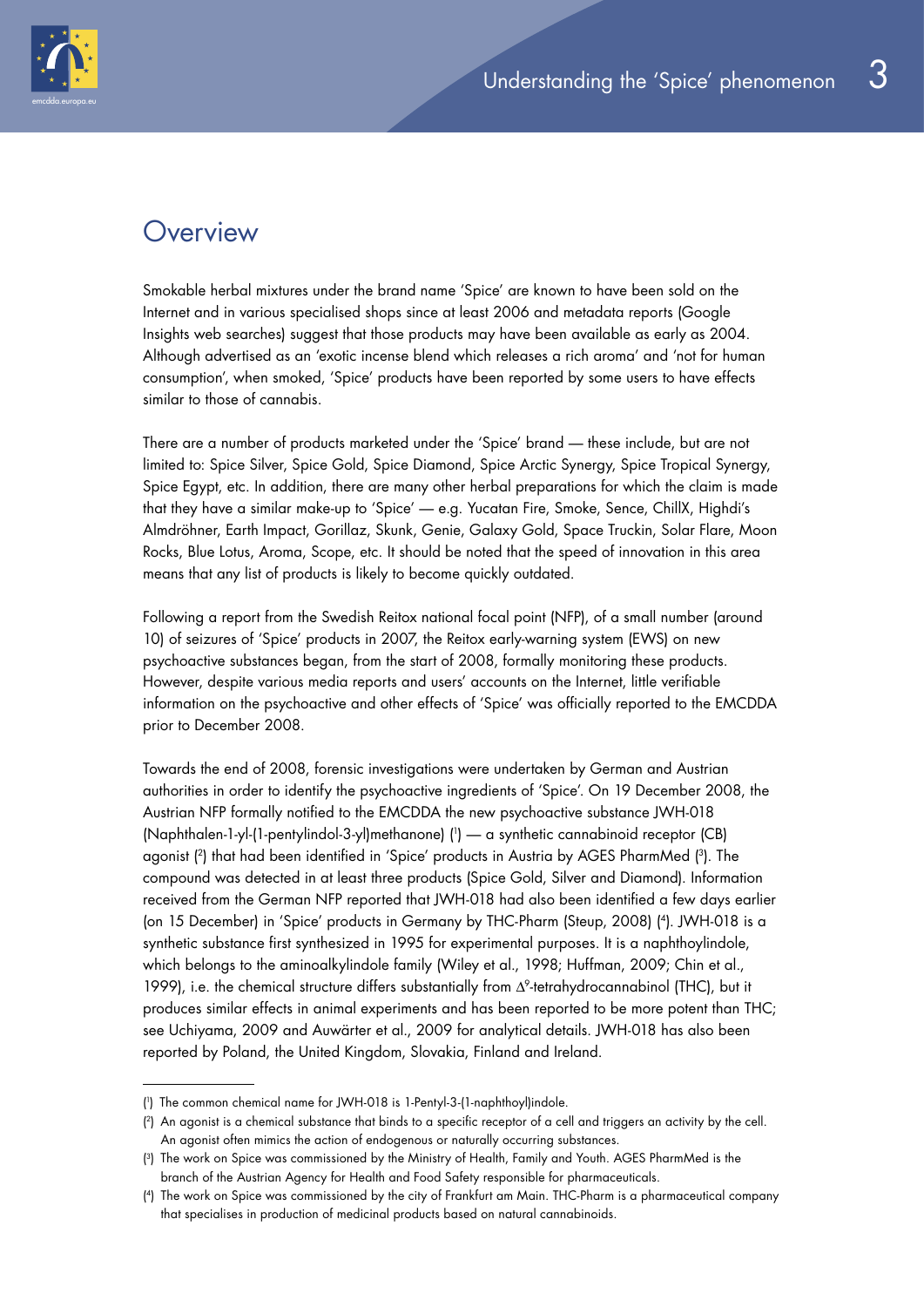

## **Overview**

Smokable herbal mixtures under the brand name 'Spice' are known to have been sold on the Internet and in various specialised shops since at least 2006 and metadata reports (Google Insights web searches) suggest that those products may have been available as early as 2004. Although advertised as an 'exotic incense blend which releases a rich aroma' and 'not for human consumption', when smoked, 'Spice' products have been reported by some users to have effects similar to those of cannabis.

There are a number of products marketed under the 'Spice' brand — these include, but are not limited to: Spice Silver, Spice Gold, Spice Diamond, Spice Arctic Synergy, Spice Tropical Synergy, Spice Egypt, etc. In addition, there are many other herbal preparations for which the claim is made that they have a similar make-up to 'Spice' — e.g. Yucatan Fire, Smoke, Sence, ChillX, Highdi's Almdröhner, Earth Impact, Gorillaz, Skunk, Genie, Galaxy Gold, Space Truckin, Solar Flare, Moon Rocks, Blue Lotus, Aroma, Scope, etc. It should be noted that the speed of innovation in this area means that any list of products is likely to become quickly outdated.

Following a report from the Swedish Reitox national focal point (NFP), of a small number (around 10) of seizures of 'Spice' products in 2007, the Reitox early-warning system (EWS) on new psychoactive substances began, from the start of 2008, formally monitoring these products. However, despite various media reports and users' accounts on the Internet, little verifiable information on the psychoactive and other effects of 'Spice' was officially reported to the EMCDDA prior to December 2008.

Towards the end of 2008, forensic investigations were undertaken by German and Austrian authorities in order to identify the psychoactive ingredients of 'Spice'. On 19 December 2008, the Austrian NFP formally notified to the EMCDDA the new psychoactive substance JWH-018 (Naphthalen-1-yl-(1-pentylindol-3-yl)methanone) ( 1 ) — a synthetic cannabinoid receptor (CB) agonist ( 2) that had been identified in 'Spice' products in Austria by AGES PharmMed ( 3). The compound was detected in at least three products (Spice Gold, Silver and Diamond). Information received from the German NFP reported that JWH-018 had also been identified a few days earlier (on 15 December) in 'Spice' products in Germany by THC-Pharm (Steup, 2008) ( 4). JWH-018 is a synthetic substance first synthesized in 1995 for experimental purposes. It is a naphthoylindole, which belongs to the aminoalkylindole family (Wiley et al., 1998; Huffman, 2009; Chin et al., 1999), i.e. the chemical structure differs substantially from Δ9-tetrahydrocannabinol (THC), but it produces similar effects in animal experiments and has been reported to be more potent than THC; see Uchiyama, 2009 and Auwärter et al., 2009 for analytical details. JWH-018 has also been reported by Poland, the United Kingdom, Slovakia, Finland and Ireland.

<sup>(</sup> 1 ) The common chemical name for JWH-018 is 1-Pentyl-3-(1-naphthoyl)indole.

<sup>(</sup> 2) An agonist is a chemical substance that binds to a specific receptor of a cell and triggers an activity by the cell. An agonist often mimics the action of endogenous or naturally occurring substances.

<sup>(</sup> 3) The work on Spice was commissioned by the Ministry of Health, Family and Youth. AGES PharmMed is the branch of the Austrian Agency for Health and Food Safety responsible for pharmaceuticals.

<sup>(</sup> 4) The work on Spice was commissioned by the city of Frankfurt am Main. THC-Pharm is a pharmaceutical company that specialises in production of medicinal products based on natural cannabinoids.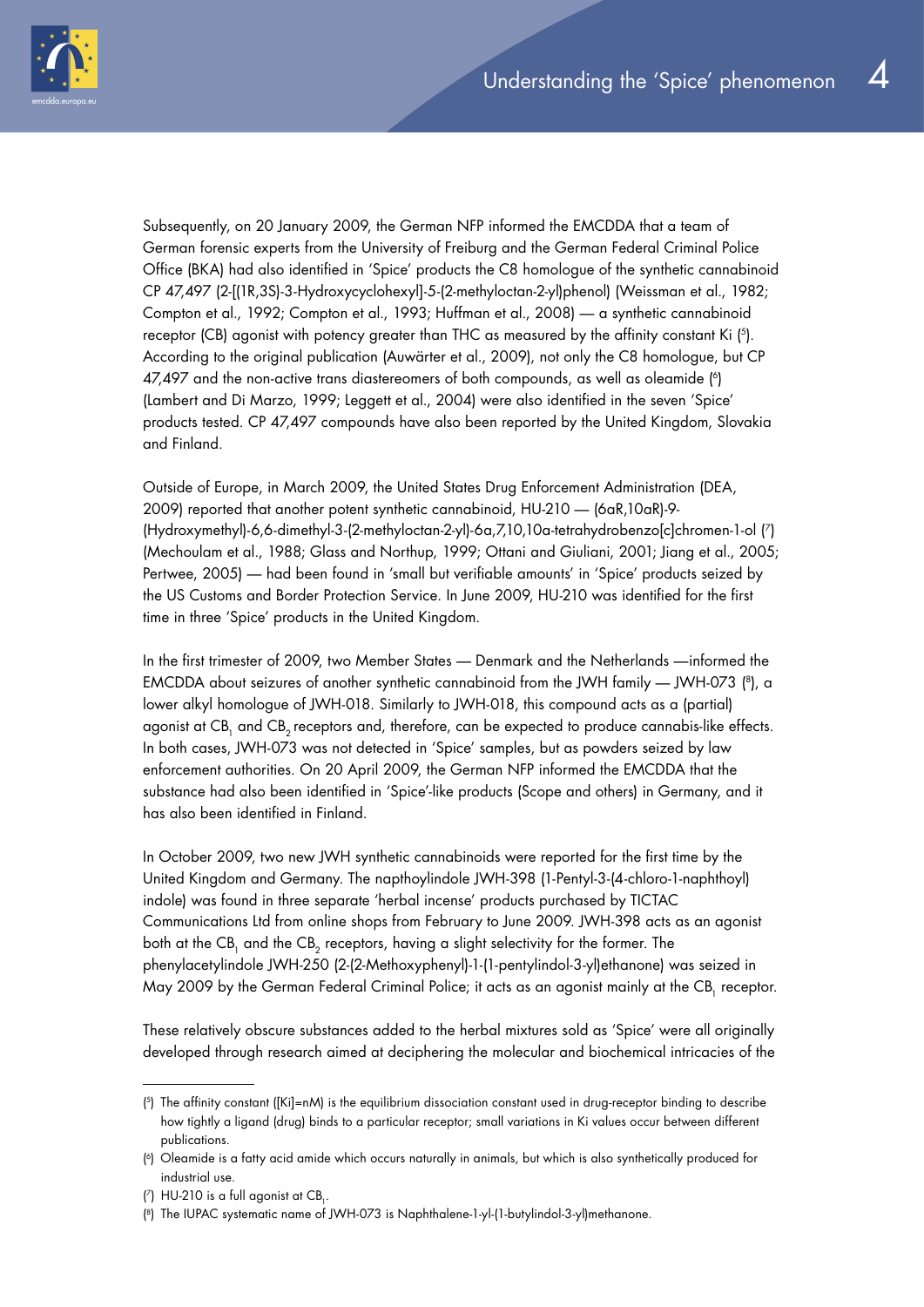

Subsequently, on 20 January 2009, the German NFP informed the EMCDDA that a team of German forensic experts from the University of Freiburg and the German Federal Criminal Police Office (BKA) had also identified in 'Spice' products the C8 homologue of the synthetic cannabinoid CP 47,497 (2-[(1R,3S)-3-Hydroxycyclohexyl]-5-(2-methyloctan-2-yl)phenol) (Weissman et al., 1982; Compton et al., 1992; Compton et al., 1993; Huffman et al., 2008) — a synthetic cannabinoid receptor (CB) agonist with potency greater than THC as measured by the affinity constant Ki ( 5). According to the original publication (Auwärter et al., 2009), not only the C8 homologue, but CP 47,497 and the non-active trans diastereomers of both compounds, as well as oleamide  $\binom{6}{1}$ (Lambert and Di Marzo, 1999; Leggett et al., 2004) were also identified in the seven 'Spice' products tested. CP 47,497 compounds have also been reported by the United Kingdom, Slovakia and Finland.

Outside of Europe, in March 2009, the United States Drug Enforcement Administration (DEA, 2009) reported that another potent synthetic cannabinoid, HU-210 — (6aR,10aR)-9- (Hydroxymethyl)-6,6-dimethyl-3-(2-methyloctan-2-yl)-6a,7,10,10a-tetrahydrobenzo[c]chromen-1-ol ( 7) (Mechoulam et al., 1988; Glass and Northup, 1999; Ottani and Giuliani, 2001; Jiang et al., 2005; Pertwee, 2005) — had been found in 'small but verifiable amounts' in 'Spice' products seized by the US Customs and Border Protection Service. In June 2009, HU-210 was identified for the first time in three 'Spice' products in the United Kingdom.

In the first trimester of 2009, two Member States — Denmark and the Netherlands —informed the EMCDDA about seizures of another synthetic cannabinoid from the JWH family — JWH-073 ( 8), a lower alkyl homologue of JWH-018. Similarly to JWH-018, this compound acts as a (partial) agonist at CB<sub>1</sub> and CB<sub>2</sub> receptors and, therefore, can be expected to produce cannabis-like effects. In both cases, JWH-073 was not detected in 'Spice' samples, but as powders seized by law enforcement authorities. On 20 April 2009, the German NFP informed the EMCDDA that the substance had also been identified in 'Spice'-like products (Scope and others) in Germany, and it has also been identified in Finland.

In October 2009, two new JWH synthetic cannabinoids were reported for the first time by the United Kingdom and Germany. The napthoylindole JWH-398 (1-Pentyl-3-(4-chloro-1-naphthoyl) indole) was found in three separate 'herbal incense' products purchased by TICTAC Communications Ltd from online shops from February to June 2009. JWH-398 acts as an agonist both at the CB<sub>1</sub> and the CB<sub>2</sub> receptors, having a slight selectivity for the former. The phenylacetylindole JWH-250 (2-(2-Methoxyphenyl)-1-(1-pentylindol-3-yl)ethanone) was seized in May 2009 by the German Federal Criminal Police; it acts as an agonist mainly at the CB<sub>1</sub> receptor.

These relatively obscure substances added to the herbal mixtures sold as 'Spice' were all originally developed through research aimed at deciphering the molecular and biochemical intricacies of the

<sup>(</sup> 5) The affinity constant ([Ki]=nM) is the equilibrium dissociation constant used in drug-receptor binding to describe how tightly a ligand (drug) binds to a particular receptor; small variations in Ki values occur between different publications.

<sup>(</sup> 6) Oleamide is a fatty acid amide which occurs naturally in animals, but which is also synthetically produced for industrial use.

<sup>(</sup> $\frac{7}{1}$ ) HU-210 is a full agonist at CB<sub>1</sub>.

<sup>(</sup> 8) The IUPAC systematic name of JWH-073 is Naphthalene-1-yl-(1-butylindol-3-yl)methanone.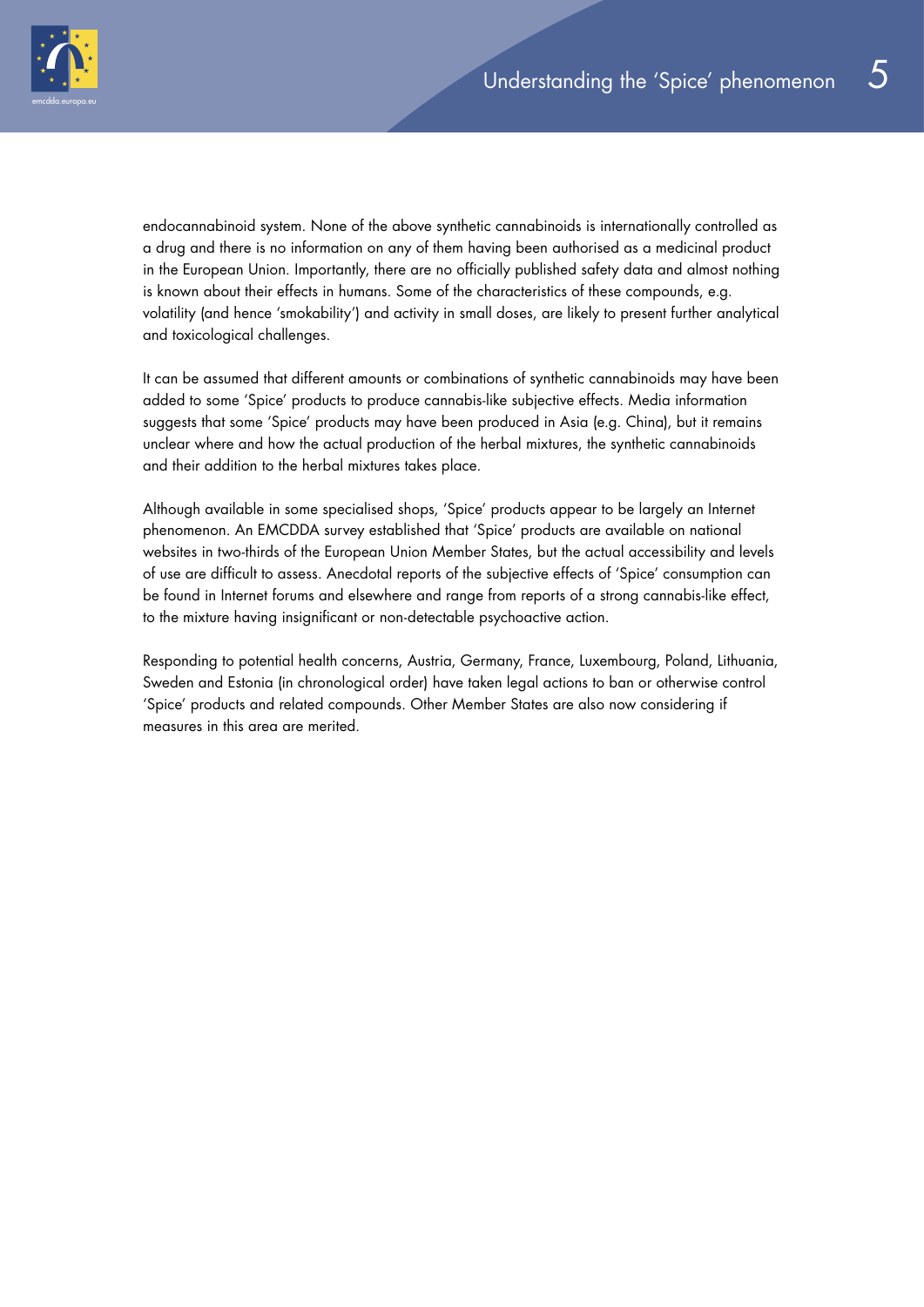

endocannabinoid system. None of the above synthetic cannabinoids is internationally controlled as a drug and there is no information on any of them having been authorised as a medicinal product in the European Union. Importantly, there are no officially published safety data and almost nothing is known about their effects in humans. Some of the characteristics of these compounds, e.g. volatility (and hence 'smokability') and activity in small doses, are likely to present further analytical and toxicological challenges.

It can be assumed that different amounts or combinations of synthetic cannabinoids may have been added to some 'Spice' products to produce cannabis-like subjective effects. Media information suggests that some 'Spice' products may have been produced in Asia (e.g. China), but it remains unclear where and how the actual production of the herbal mixtures, the synthetic cannabinoids and their addition to the herbal mixtures takes place.

Although available in some specialised shops, 'Spice' products appear to be largely an Internet phenomenon. An EMCDDA survey established that 'Spice' products are available on national websites in two-thirds of the European Union Member States, but the actual accessibility and levels of use are difficult to assess. Anecdotal reports of the subjective effects of 'Spice' consumption can be found in Internet forums and elsewhere and range from reports of a strong cannabis-like effect, to the mixture having insignificant or non-detectable psychoactive action.

Responding to potential health concerns, Austria, Germany, France, Luxembourg, Poland, Lithuania, Sweden and Estonia (in chronological order) have taken legal actions to ban or otherwise control 'Spice' products and related compounds. Other Member States are also now considering if measures in this area are merited.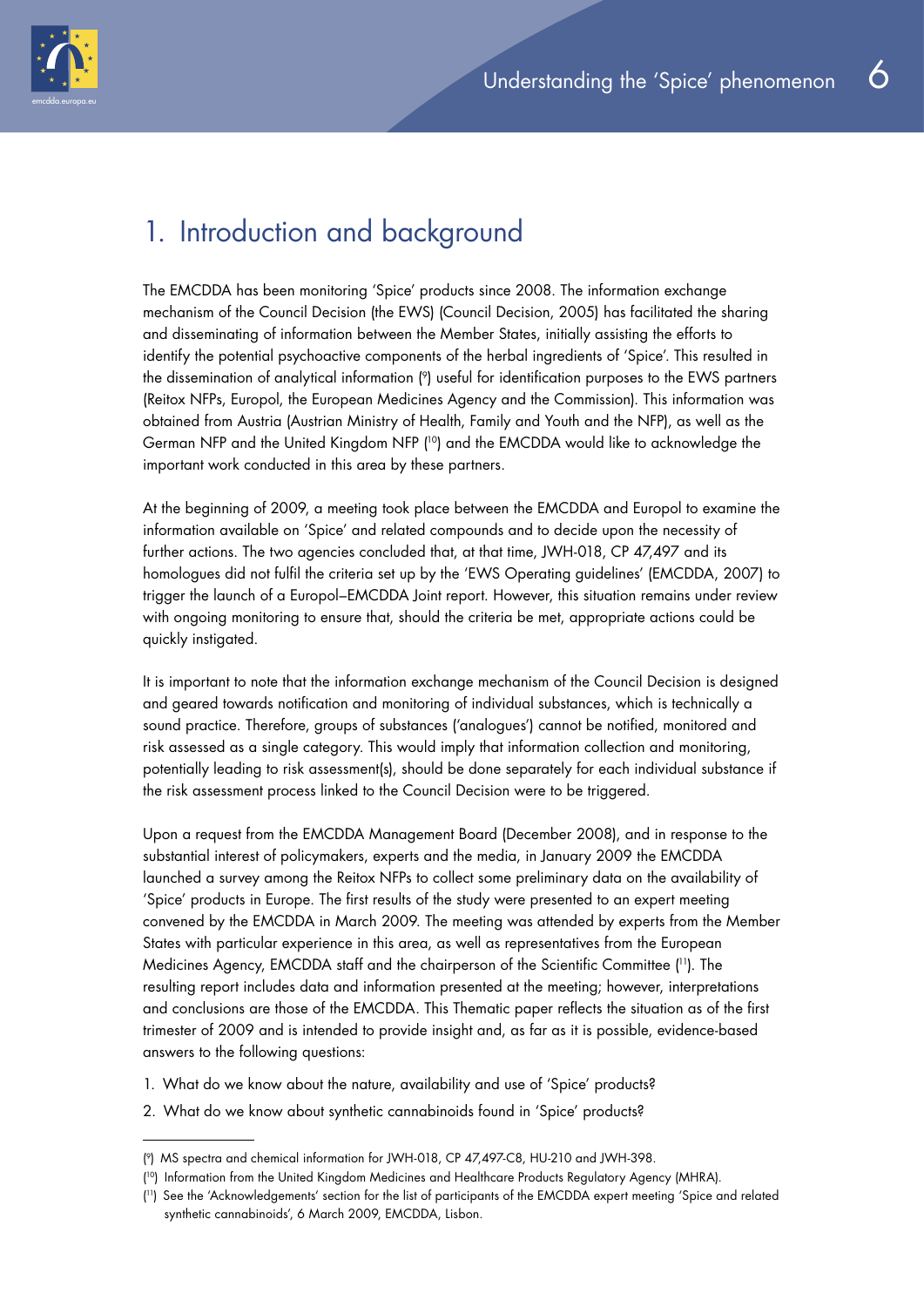

# 1. Introduction and background

The EMCDDA has been monitoring 'Spice' products since 2008. The information exchange mechanism of the Council Decision (the EWS) (Council Decision, 2005) has facilitated the sharing and disseminating of information between the Member States, initially assisting the efforts to identify the potential psychoactive components of the herbal ingredients of 'Spice'. This resulted in the dissemination of analytical information ( 9) useful for identification purposes to the EWS partners (Reitox NFPs, Europol, the European Medicines Agency and the Commission). This information was obtained from Austria (Austrian Ministry of Health, Family and Youth and the NFP), as well as the German NFP and the United Kingdom NFP ( 10) and the EMCDDA would like to acknowledge the important work conducted in this area by these partners.

At the beginning of 2009, a meeting took place between the EMCDDA and Europol to examine the information available on 'Spice' and related compounds and to decide upon the necessity of further actions. The two agencies concluded that, at that time, JWH-018, CP 47,497 and its homologues did not fulfil the criteria set up by the 'EWS Operating guidelines' (EMCDDA, 2007) to trigger the launch of a Europol–EMCDDA Joint report. However, this situation remains under review with ongoing monitoring to ensure that, should the criteria be met, appropriate actions could be quickly instigated.

It is important to note that the information exchange mechanism of the Council Decision is designed and geared towards notification and monitoring of individual substances, which is technically a sound practice. Therefore, groups of substances ('analogues') cannot be notified, monitored and risk assessed as a single category. This would imply that information collection and monitoring, potentially leading to risk assessment(s), should be done separately for each individual substance if the risk assessment process linked to the Council Decision were to be triggered.

Upon a request from the EMCDDA Management Board (December 2008), and in response to the substantial interest of policymakers, experts and the media, in January 2009 the EMCDDA launched a survey among the Reitox NFPs to collect some preliminary data on the availability of 'Spice' products in Europe. The first results of the study were presented to an expert meeting convened by the EMCDDA in March 2009. The meeting was attended by experts from the Member States with particular experience in this area, as well as representatives from the European Medicines Agency, EMCDDA staff and the chairperson of the Scientific Committee ( 11). The resulting report includes data and information presented at the meeting; however, interpretations and conclusions are those of the EMCDDA. This Thematic paper reflects the situation as of the first trimester of 2009 and is intended to provide insight and, as far as it is possible, evidence-based answers to the following questions:

- 1. What do we know about the nature, availability and use of 'Spice' products?
- 2. What do we know about synthetic cannabinoids found in 'Spice' products?

<sup>(</sup> 9) MS spectra and chemical information for JWH-018, CP 47,497-C8, HU-210 and JWH-398.

<sup>(</sup> 10) Information from the United Kingdom Medicines and Healthcare Products Regulatory Agency (MHRA).

<sup>(</sup> 11) See the 'Acknowledgements' section for the list of participants of the EMCDDA expert meeting 'Spice and related synthetic cannabinoids', 6 March 2009, EMCDDA, Lisbon.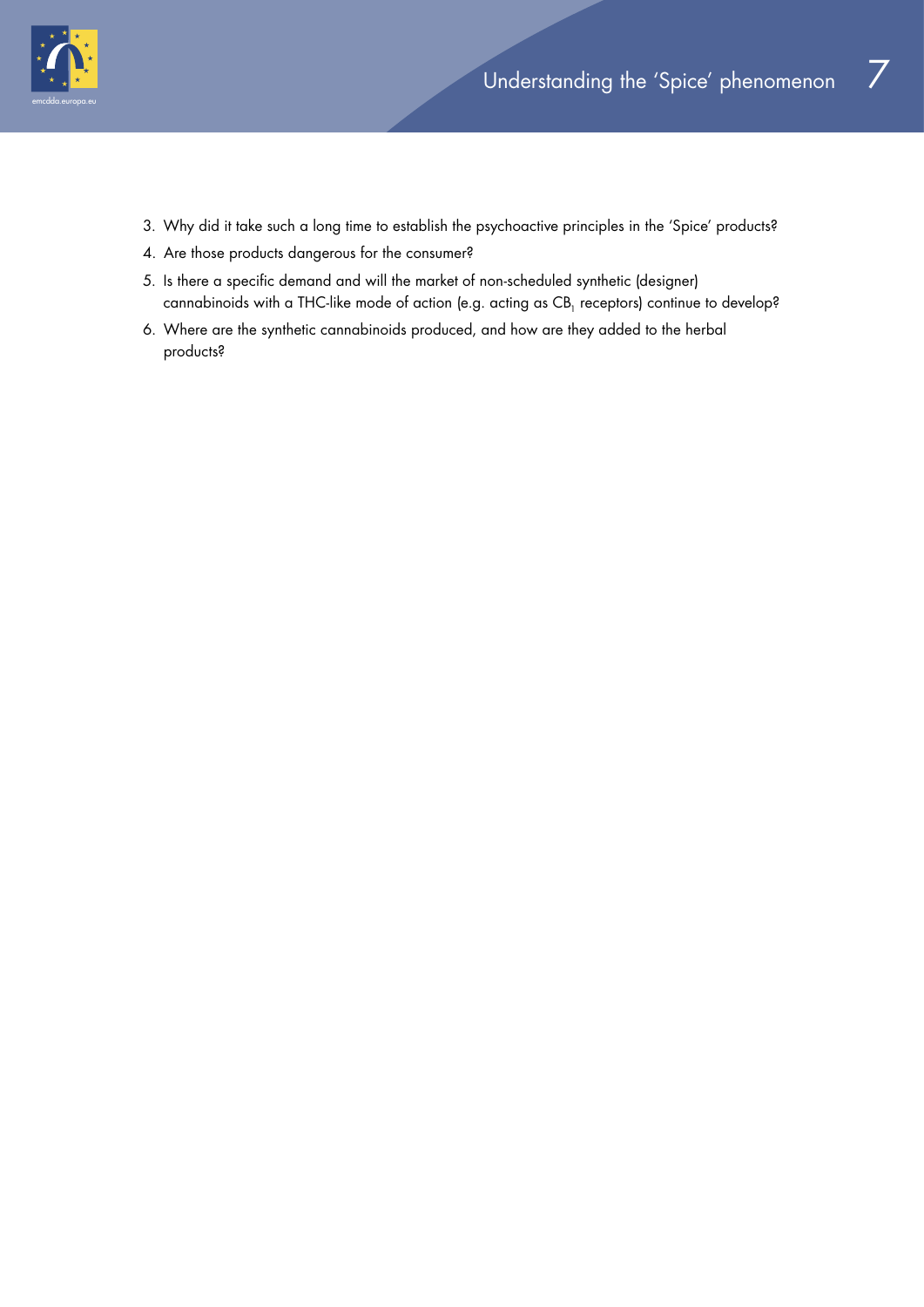

- 3. Why did it take such a long time to establish the psychoactive principles in the 'Spice' products?
- 4. Are those products dangerous for the consumer?
- 5. Is there a specific demand and will the market of non-scheduled synthetic (designer) cannabinoids with a THC-like mode of action (e.g. acting as CB<sub>1</sub> receptors) continue to develop?
- 6. Where are the synthetic cannabinoids produced, and how are they added to the herbal products?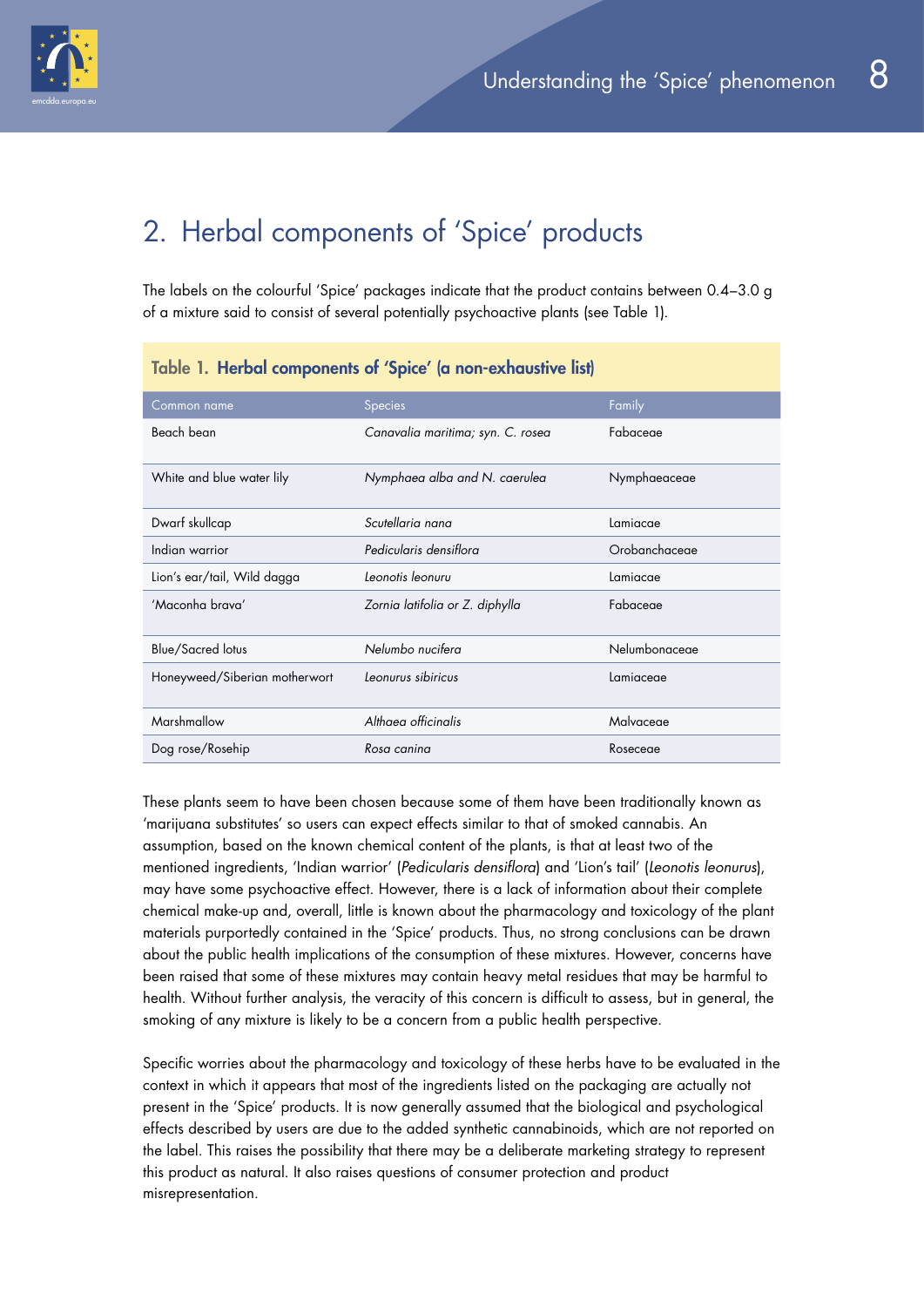

# 2. Herbal components of 'Spice' products

The labels on the colourful 'Spice' packages indicate that the product contains between 0.4–3.0 g of a mixture said to consist of several potentially psychoactive plants (see Table 1).

| lable 1. Helbal components of spice (a non-exhausity itsi) |                                   |               |  |  |
|------------------------------------------------------------|-----------------------------------|---------------|--|--|
| Common name                                                | Species                           | Family        |  |  |
| Beach bean                                                 | Canavalia maritima; syn. C. rosea | Fabaceae      |  |  |
| White and blue water lily                                  | Nymphaea alba and N. caerulea     | Nymphaeaceae  |  |  |
| Dwarf skullcap                                             | Scutellaria nana                  | Lamiacae      |  |  |
| Indian warrior                                             | Pedicularis densiflora            | Orobanchaceae |  |  |
| Lion's ear/tail, Wild dagga                                | Leonotis leonuru                  | Lamiacae      |  |  |
| 'Maconha brava'                                            | Zornia latifolia or Z. diphylla   | Fabaceae      |  |  |
| <b>Blue/Sacred lotus</b>                                   | Nelumbo nucifera                  | Nelumbonaceae |  |  |
| Honeyweed/Siberian motherwort                              | Leonurus sibiricus                | Lamiaceae     |  |  |
| Marshmallow                                                | Althaea officinalis               | Malvaceae     |  |  |
| Dog rose/Rosehip                                           | Rosa canina                       | Roseceae      |  |  |

#### Table 1. Herbal components of 'Spice' (a non-exhaustive list)

These plants seem to have been chosen because some of them have been traditionally known as 'marijuana substitutes' so users can expect effects similar to that of smoked cannabis. An assumption, based on the known chemical content of the plants, is that at least two of the mentioned ingredients, 'Indian warrior' (*Pedicularis densiflora*) and 'Lion's tail' (*Leonotis leonurus*), may have some psychoactive effect. However, there is a lack of information about their complete chemical make-up and, overall, little is known about the pharmacology and toxicology of the plant materials purportedly contained in the 'Spice' products. Thus, no strong conclusions can be drawn about the public health implications of the consumption of these mixtures. However, concerns have been raised that some of these mixtures may contain heavy metal residues that may be harmful to health. Without further analysis, the veracity of this concern is difficult to assess, but in general, the smoking of any mixture is likely to be a concern from a public health perspective.

Specific worries about the pharmacology and toxicology of these herbs have to be evaluated in the context in which it appears that most of the ingredients listed on the packaging are actually not present in the 'Spice' products. It is now generally assumed that the biological and psychological effects described by users are due to the added synthetic cannabinoids, which are not reported on the label. This raises the possibility that there may be a deliberate marketing strategy to represent this product as natural. It also raises questions of consumer protection and product misrepresentation.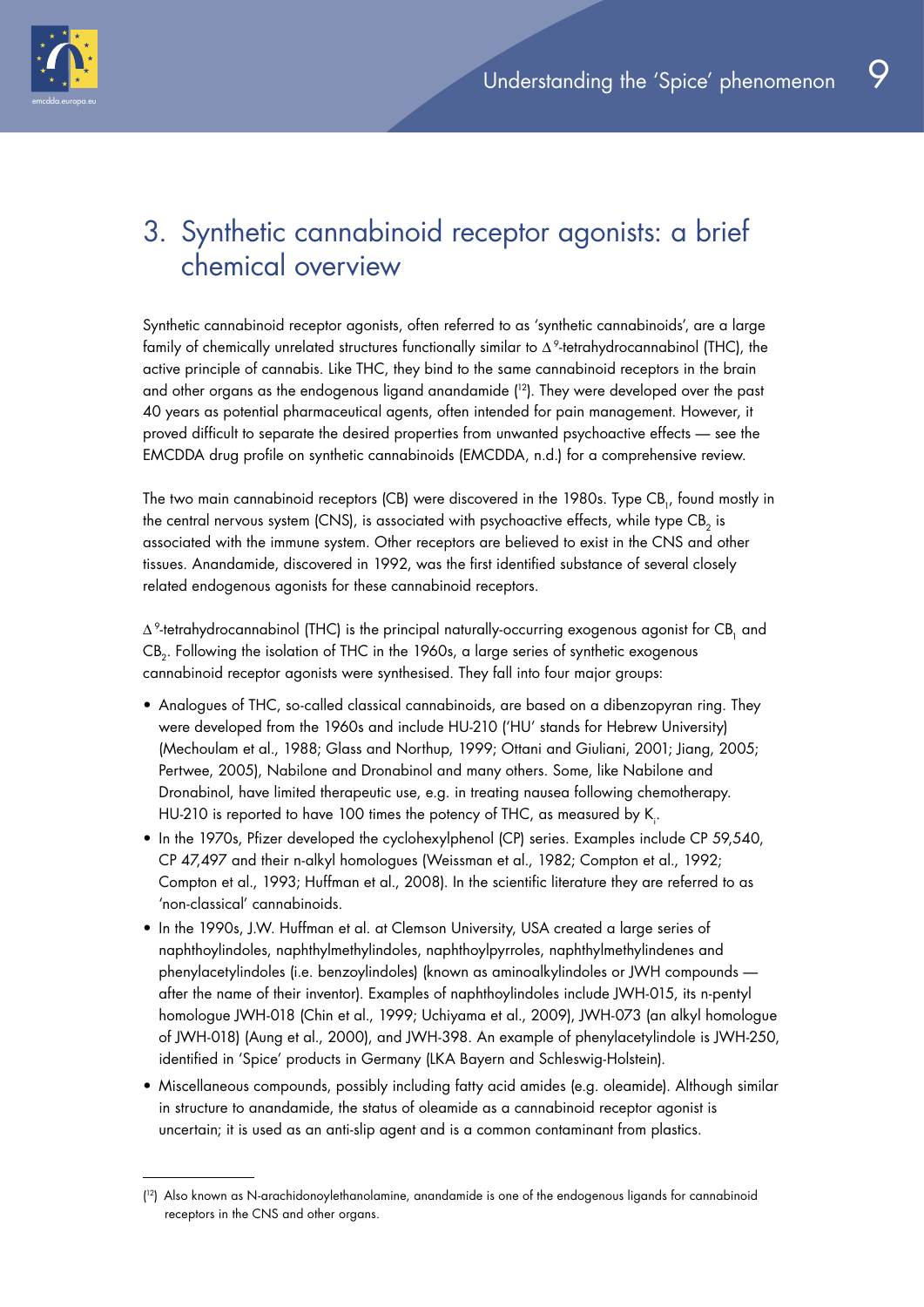

## 3. Synthetic cannabinoid receptor agonists: a brief chemical overview

Synthetic cannabinoid receptor agonists, often referred to as 'synthetic cannabinoids', are a large family of chemically unrelated structures functionally similar to Δ 9-tetrahydrocannabinol (THC), the active principle of cannabis. Like THC, they bind to the same cannabinoid receptors in the brain and other organs as the endogenous ligand anandamide ( 12). They were developed over the past 40 years as potential pharmaceutical agents, often intended for pain management. However, it proved difficult to separate the desired properties from unwanted psychoactive effects — see the EMCDDA drug profile on synthetic cannabinoids (EMCDDA, n.d.) for a comprehensive review.

The two main cannabinoid receptors (CB) were discovered in the 1980s. Type CB<sub>1</sub>, found mostly in the central nervous system (CNS), is associated with psychoactive effects, while type CB<sub>2</sub> is associated with the immune system. Other receptors are believed to exist in the CNS and other tissues. Anandamide, discovered in 1992, was the first identified substance of several closely related endogenous agonists for these cannabinoid receptors.

 $\Delta^9$ -tetrahydrocannabinol (THC) is the principal naturally-occurring exogenous agonist for CB, and CB<sub>2</sub>. Following the isolation of THC in the 1960s, a large series of synthetic exogenous cannabinoid receptor agonists were synthesised. They fall into four major groups:

- Analogues of THC, so-called classical cannabinoids, are based on a dibenzopyran ring. They were developed from the 1960s and include HU-210 ('HU' stands for Hebrew University) (Mechoulam et al., 1988; Glass and Northup, 1999; Ottani and Giuliani, 2001; Jiang, 2005; Pertwee, 2005), Nabilone and Dronabinol and many others. Some, like Nabilone and Dronabinol, have limited therapeutic use, e.g. in treating nausea following chemotherapy. HU-210 is reported to have 100 times the potency of THC, as measured by K<sub>i</sub>.
- In the 1970s, Pfizer developed the cyclohexylphenol (CP) series. Examples include CP 59,540, CP 47,497 and their n-alkyl homologues (Weissman et al., 1982; Compton et al., 1992; Compton et al., 1993; Huffman et al., 2008). In the scientific literature they are referred to as 'non-classical' cannabinoids.
- In the 1990s, J.W. Huffman et al. at Clemson University, USA created a large series of naphthoylindoles, naphthylmethylindoles, naphthoylpyrroles, naphthylmethylindenes and phenylacetylindoles (i.e. benzoylindoles) (known as aminoalkylindoles or JWH compounds after the name of their inventor). Examples of naphthoylindoles include JWH-015, its n-pentyl homologue JWH-018 (Chin et al., 1999; Uchiyama et al., 2009), JWH-073 (an alkyl homologue of JWH-018) (Aung et al., 2000), and JWH-398. An example of phenylacetylindole is JWH-250, identified in 'Spice' products in Germany (LKA Bayern and Schleswig-Holstein).
- Miscellaneous compounds, possibly including fatty acid amides (e.g. oleamide). Although similar in structure to anandamide, the status of oleamide as a cannabinoid receptor agonist is uncertain; it is used as an anti-slip agent and is a common contaminant from plastics.

<sup>(</sup> 12) Also known as N-arachidonoylethanolamine, anandamide is one of the endogenous ligands for cannabinoid receptors in the CNS and other organs.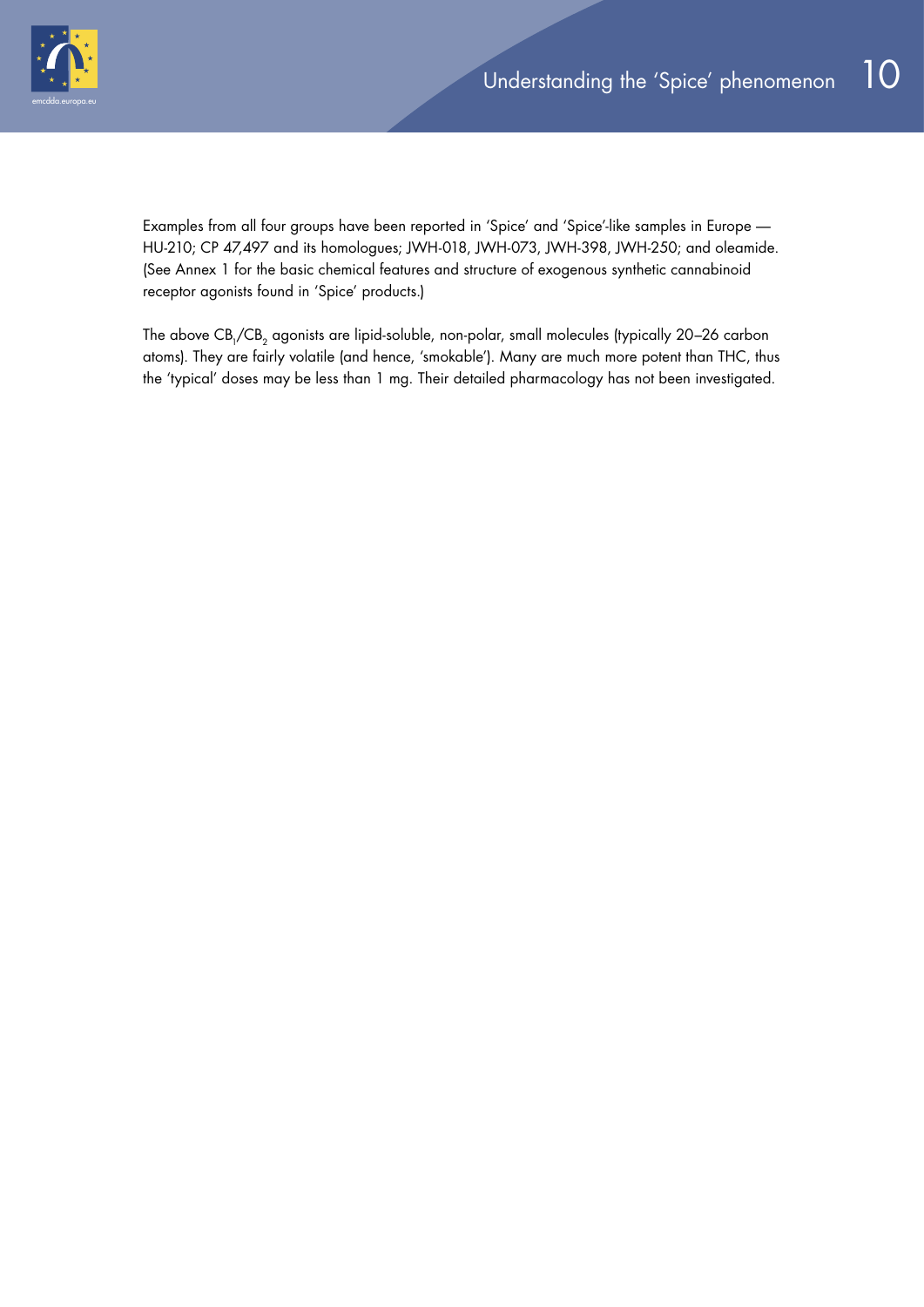

Examples from all four groups have been reported in 'Spice' and 'Spice'-like samples in Europe — HU-210; CP 47,497 and its homologues; JWH-018, JWH-073, JWH-398, JWH-250; and oleamide. (See Annex 1 for the basic chemical features and structure of exogenous synthetic cannabinoid receptor agonists found in 'Spice' products.)

The above CB<sub>1</sub>/CB<sub>2</sub> agonists are lipid-soluble, non-polar, small molecules (typically 20–26 carbon atoms). They are fairly volatile (and hence, 'smokable'). Many are much more potent than THC, thus the 'typical' doses may be less than 1 mg. Their detailed pharmacology has not been investigated.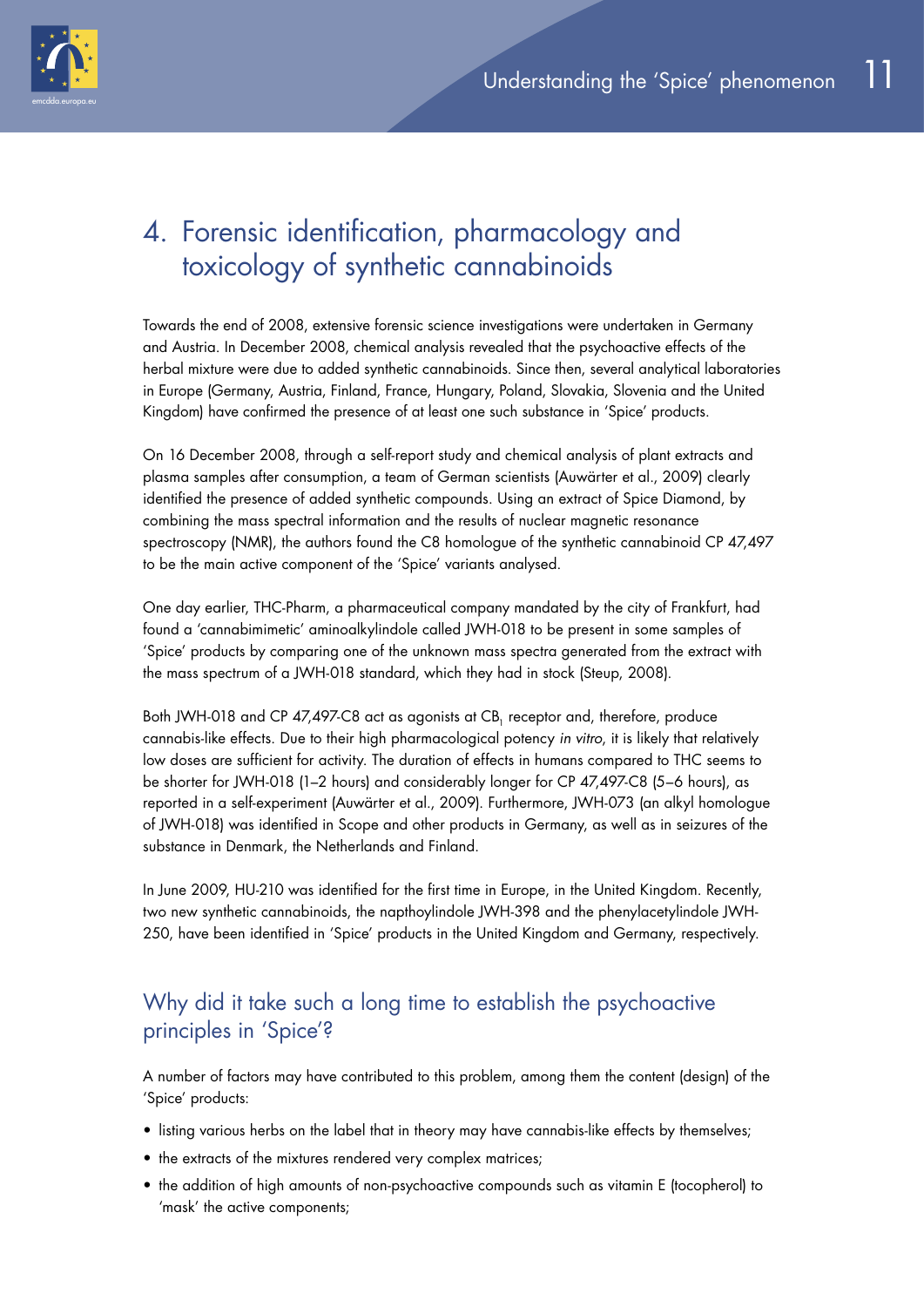

# 4. Forensic identification, pharmacology and toxicology of synthetic cannabinoids

Towards the end of 2008, extensive forensic science investigations were undertaken in Germany and Austria. In December 2008, chemical analysis revealed that the psychoactive effects of the herbal mixture were due to added synthetic cannabinoids. Since then, several analytical laboratories in Europe (Germany, Austria, Finland, France, Hungary, Poland, Slovakia, Slovenia and the United Kingdom) have confirmed the presence of at least one such substance in 'Spice' products.

On 16 December 2008, through a self-report study and chemical analysis of plant extracts and plasma samples after consumption, a team of German scientists (Auwärter et al., 2009) clearly identified the presence of added synthetic compounds. Using an extract of Spice Diamond, by combining the mass spectral information and the results of nuclear magnetic resonance spectroscopy (NMR), the authors found the C8 homologue of the synthetic cannabinoid CP 47,497 to be the main active component of the 'Spice' variants analysed.

One day earlier, THC-Pharm, a pharmaceutical company mandated by the city of Frankfurt, had found a 'cannabimimetic' aminoalkylindole called JWH-018 to be present in some samples of 'Spice' products by comparing one of the unknown mass spectra generated from the extract with the mass spectrum of a JWH-018 standard, which they had in stock (Steup, 2008).

Both JWH-018 and CP 47,497-C8 act as agonists at CB, receptor and, therefore, produce cannabis-like effects. Due to their high pharmacological potency *in vitro*, it is likely that relatively low doses are sufficient for activity. The duration of effects in humans compared to THC seems to be shorter for JWH-018 (1–2 hours) and considerably longer for CP 47,497-C8 (5–6 hours), as reported in a self-experiment (Auwärter et al., 2009). Furthermore, JWH-073 (an alkyl homologue of JWH-018) was identified in Scope and other products in Germany, as well as in seizures of the substance in Denmark, the Netherlands and Finland.

In June 2009, HU-210 was identified for the first time in Europe, in the United Kingdom. Recently, two new synthetic cannabinoids, the napthoylindole JWH-398 and the phenylacetylindole JWH-250, have been identified in 'Spice' products in the United Kingdom and Germany, respectively.

## Why did it take such a long time to establish the psychoactive principles in 'Spice'?

A number of factors may have contributed to this problem, among them the content (design) of the 'Spice' products:

- listing various herbs on the label that in theory may have cannabis-like effects by themselves;
- the extracts of the mixtures rendered very complex matrices;
- the addition of high amounts of non-psychoactive compounds such as vitamin E (tocopherol) to 'mask' the active components;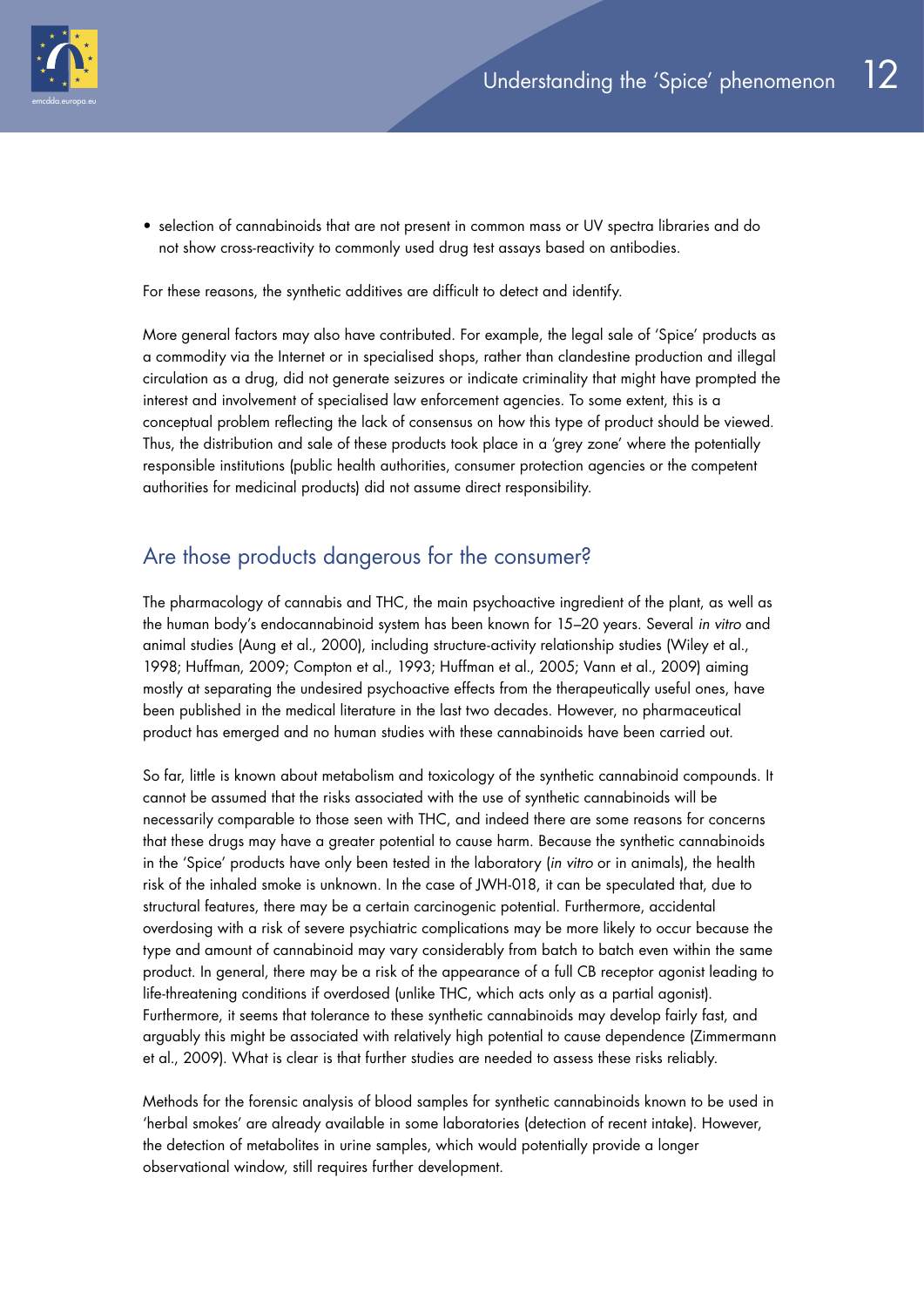

• selection of cannabinoids that are not present in common mass or UV spectra libraries and do not show cross-reactivity to commonly used drug test assays based on antibodies.

For these reasons, the synthetic additives are difficult to detect and identify.

More general factors may also have contributed. For example, the legal sale of 'Spice' products as a commodity via the Internet or in specialised shops, rather than clandestine production and illegal circulation as a drug, did not generate seizures or indicate criminality that might have prompted the interest and involvement of specialised law enforcement agencies. To some extent, this is a conceptual problem reflecting the lack of consensus on how this type of product should be viewed. Thus, the distribution and sale of these products took place in a 'grey zone' where the potentially responsible institutions (public health authorities, consumer protection agencies or the competent authorities for medicinal products) did not assume direct responsibility.

## Are those products dangerous for the consumer?

The pharmacology of cannabis and THC, the main psychoactive ingredient of the plant, as well as the human body's endocannabinoid system has been known for 15–20 years. Several *in vitro* and animal studies (Aung et al., 2000), including structure-activity relationship studies (Wiley et al., 1998; Huffman, 2009; Compton et al., 1993; Huffman et al., 2005; Vann et al., 2009) aiming mostly at separating the undesired psychoactive effects from the therapeutically useful ones, have been published in the medical literature in the last two decades. However, no pharmaceutical product has emerged and no human studies with these cannabinoids have been carried out.

So far, little is known about metabolism and toxicology of the synthetic cannabinoid compounds. It cannot be assumed that the risks associated with the use of synthetic cannabinoids will be necessarily comparable to those seen with THC, and indeed there are some reasons for concerns that these drugs may have a greater potential to cause harm. Because the synthetic cannabinoids in the 'Spice' products have only been tested in the laboratory (*in vitro* or in animals), the health risk of the inhaled smoke is unknown. In the case of JWH-018, it can be speculated that, due to structural features, there may be a certain carcinogenic potential. Furthermore, accidental overdosing with a risk of severe psychiatric complications may be more likely to occur because the type and amount of cannabinoid may vary considerably from batch to batch even within the same product. In general, there may be a risk of the appearance of a full CB receptor agonist leading to life-threatening conditions if overdosed (unlike THC, which acts only as a partial agonist). Furthermore, it seems that tolerance to these synthetic cannabinoids may develop fairly fast, and arguably this might be associated with relatively high potential to cause dependence (Zimmermann et al., 2009). What is clear is that further studies are needed to assess these risks reliably.

Methods for the forensic analysis of blood samples for synthetic cannabinoids known to be used in 'herbal smokes' are already available in some laboratories (detection of recent intake). However, the detection of metabolites in urine samples, which would potentially provide a longer observational window, still requires further development.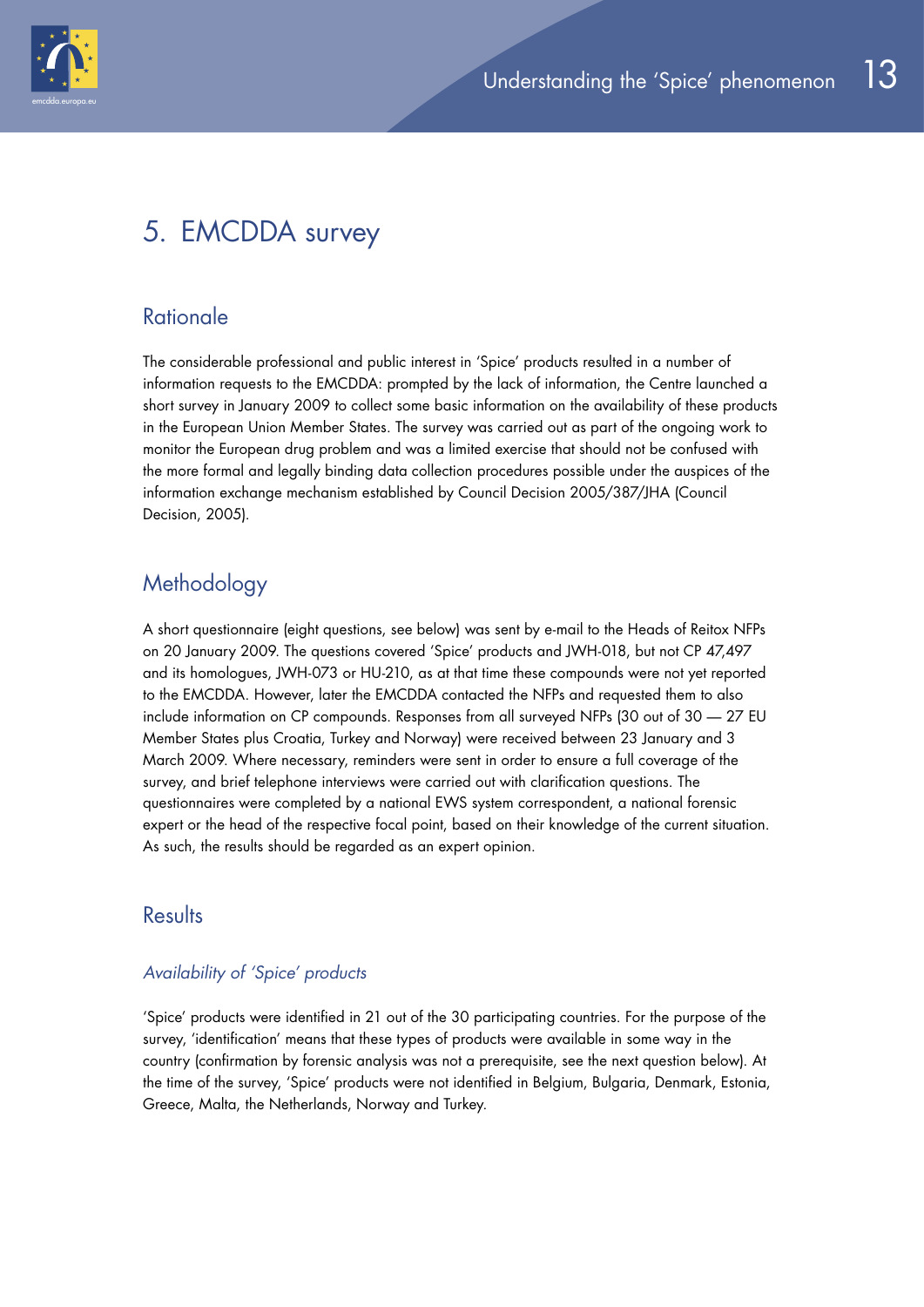

## 5. EMCDDA survey

## **Rationale**

The considerable professional and public interest in 'Spice' products resulted in a number of information requests to the EMCDDA: prompted by the lack of information, the Centre launched a short survey in January 2009 to collect some basic information on the availability of these products in the European Union Member States. The survey was carried out as part of the ongoing work to monitor the European drug problem and was a limited exercise that should not be confused with the more formal and legally binding data collection procedures possible under the auspices of the information exchange mechanism established by Council Decision 2005/387/JHA (Council Decision, 2005).

## **Methodology**

A short questionnaire (eight questions, see below) was sent by e-mail to the Heads of Reitox NFPs on 20 January 2009. The questions covered 'Spice' products and JWH-018, but not CP 47,497 and its homologues, JWH-073 or HU-210, as at that time these compounds were not yet reported to the EMCDDA. However, later the EMCDDA contacted the NFPs and requested them to also include information on CP compounds. Responses from all surveyed NFPs (30 out of 30 — 27 EU Member States plus Croatia, Turkey and Norway) were received between 23 January and 3 March 2009. Where necessary, reminders were sent in order to ensure a full coverage of the survey, and brief telephone interviews were carried out with clarification questions. The questionnaires were completed by a national EWS system correspondent, a national forensic expert or the head of the respective focal point, based on their knowledge of the current situation. As such, the results should be regarded as an expert opinion.

## **Results**

#### *Availability of 'Spice' products*

'Spice' products were identified in 21 out of the 30 participating countries. For the purpose of the survey, 'identification' means that these types of products were available in some way in the country (confirmation by forensic analysis was not a prerequisite, see the next question below). At the time of the survey, 'Spice' products were not identified in Belgium, Bulgaria, Denmark, Estonia, Greece, Malta, the Netherlands, Norway and Turkey.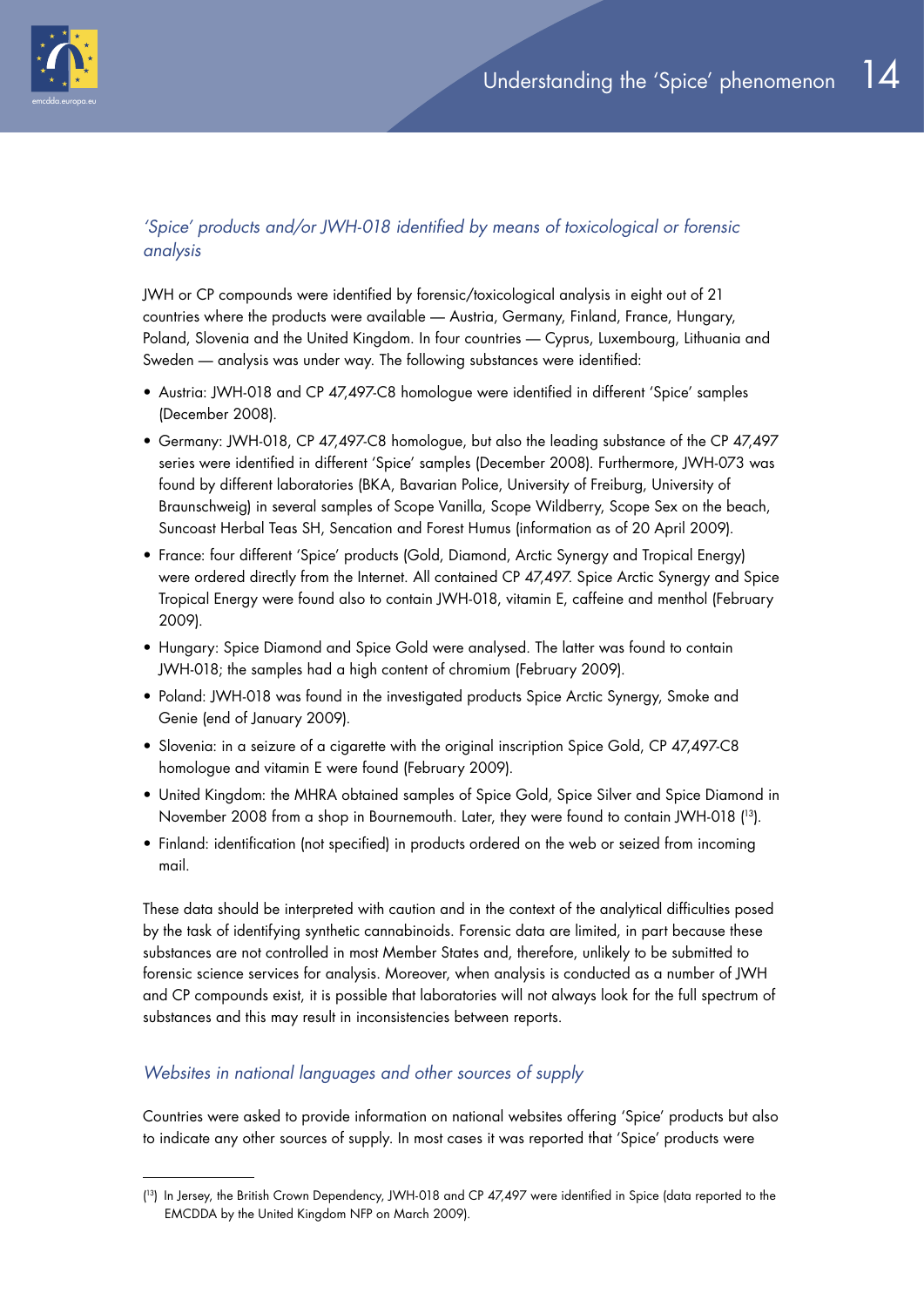

#### *'Spice' products and/or JWH-018 identified by means of toxicological or forensic analysis*

JWH or CP compounds were identified by forensic/toxicological analysis in eight out of 21 countries where the products were available — Austria, Germany, Finland, France, Hungary, Poland, Slovenia and the United Kingdom. In four countries — Cyprus, Luxembourg, Lithuania and Sweden — analysis was under way. The following substances were identified:

- Austria: JWH-018 and CP 47,497-C8 homologue were identified in different 'Spice' samples (December 2008).
- Germany: JWH-018, CP 47,497-C8 homologue, but also the leading substance of the CP 47,497 series were identified in different 'Spice' samples (December 2008). Furthermore, JWH-073 was found by different laboratories (BKA, Bavarian Police, University of Freiburg, University of Braunschweig) in several samples of Scope Vanilla, Scope Wildberry, Scope Sex on the beach, Suncoast Herbal Teas SH, Sencation and Forest Humus (information as of 20 April 2009).
- France: four different 'Spice' products (Gold, Diamond, Arctic Synergy and Tropical Energy) were ordered directly from the Internet. All contained CP 47,497. Spice Arctic Synergy and Spice Tropical Energy were found also to contain JWH-018, vitamin E, caffeine and menthol (February 2009).
- Hungary: Spice Diamond and Spice Gold were analysed. The latter was found to contain JWH-018; the samples had a high content of chromium (February 2009).
- Poland: JWH-018 was found in the investigated products Spice Arctic Synergy, Smoke and Genie (end of January 2009).
- Slovenia: in a seizure of a cigarette with the original inscription Spice Gold, CP 47,497-C8 homologue and vitamin E were found (February 2009).
- United Kingdom: the MHRA obtained samples of Spice Gold, Spice Silver and Spice Diamond in November 2008 from a shop in Bournemouth. Later, they were found to contain JWH-018 ( 13).
- Finland: identification (not specified) in products ordered on the web or seized from incoming mail.

These data should be interpreted with caution and in the context of the analytical difficulties posed by the task of identifying synthetic cannabinoids. Forensic data are limited, in part because these substances are not controlled in most Member States and, therefore, unlikely to be submitted to forensic science services for analysis. Moreover, when analysis is conducted as a number of JWH and CP compounds exist, it is possible that laboratories will not always look for the full spectrum of substances and this may result in inconsistencies between reports.

#### *Websites in national languages and other sources of supply*

Countries were asked to provide information on national websites offering 'Spice' products but also to indicate any other sources of supply. In most cases it was reported that 'Spice' products were

<sup>(</sup> 13) In Jersey, the British Crown Dependency, JWH-018 and CP 47,497 were identified in Spice (data reported to the EMCDDA by the United Kingdom NFP on March 2009).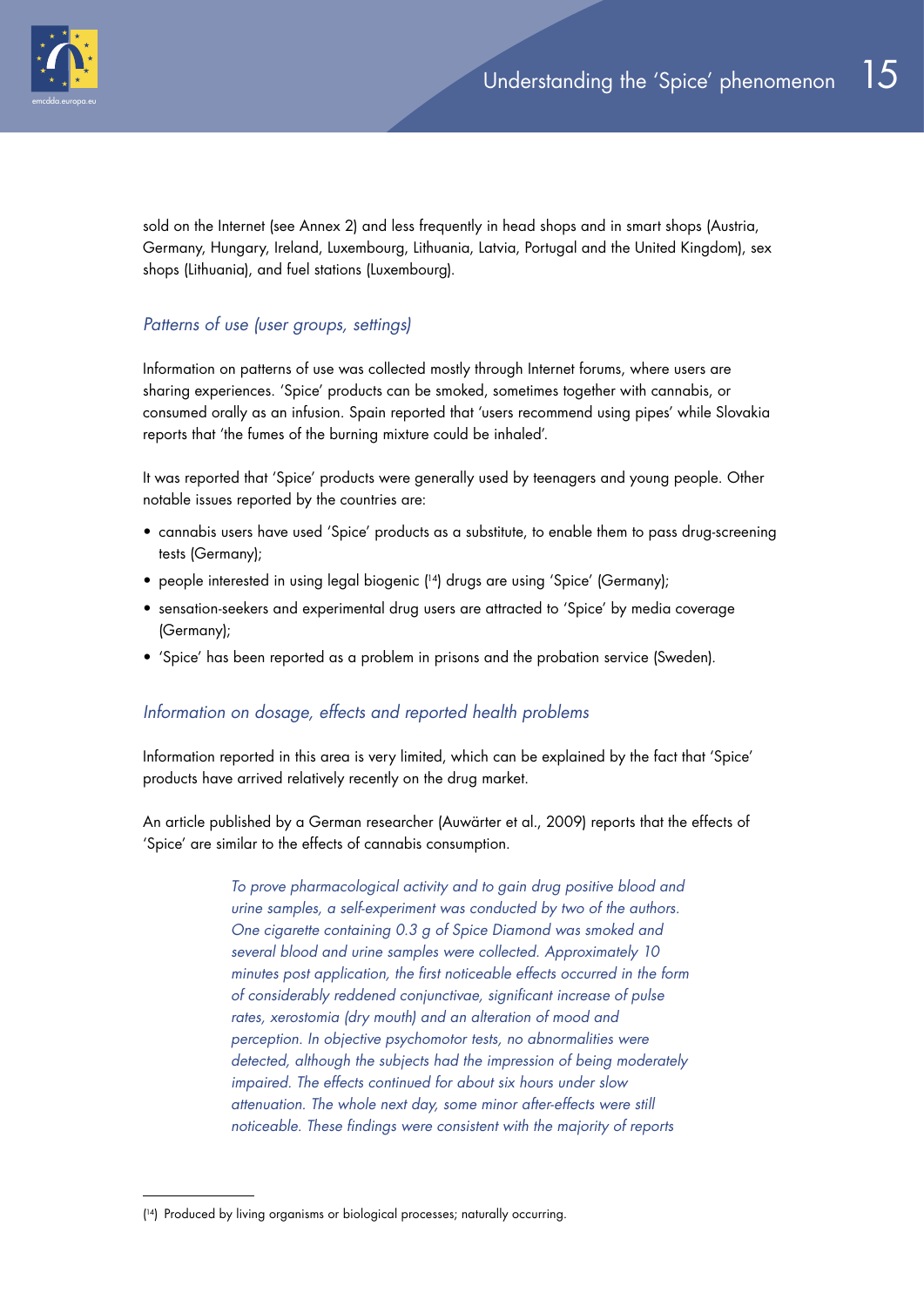

sold on the Internet (see Annex 2) and less frequently in head shops and in smart shops (Austria, Germany, Hungary, Ireland, Luxembourg, Lithuania, Latvia, Portugal and the United Kingdom), sex shops (Lithuania), and fuel stations (Luxembourg).

#### *Patterns of use (user groups, settings)*

Information on patterns of use was collected mostly through Internet forums, where users are sharing experiences. 'Spice' products can be smoked, sometimes together with cannabis, or consumed orally as an infusion. Spain reported that 'users recommend using pipes' while Slovakia reports that 'the fumes of the burning mixture could be inhaled'.

It was reported that 'Spice' products were generally used by teenagers and young people. Other notable issues reported by the countries are:

- cannabis users have used 'Spice' products as a substitute, to enable them to pass drug-screening tests (Germany);
- people interested in using legal biogenic ( 14) drugs are using 'Spice' (Germany);
- sensation-seekers and experimental drug users are attracted to 'Spice' by media coverage (Germany);
- 'Spice' has been reported as a problem in prisons and the probation service (Sweden).

#### *Information on dosage, effects and reported health problems*

Information reported in this area is very limited, which can be explained by the fact that 'Spice' products have arrived relatively recently on the drug market.

An article published by a German researcher (Auwärter et al., 2009) reports that the effects of 'Spice' are similar to the effects of cannabis consumption.

> *To prove pharmacological activity and to gain drug positive blood and urine samples, a self-experiment was conducted by two of the authors. One cigarette containing 0.3 g of Spice Diamond was smoked and several blood and urine samples were collected. Approximately 10 minutes post application, the first noticeable effects occurred in the form of considerably reddened conjunctivae, significant increase of pulse rates, xerostomia (dry mouth) and an alteration of mood and perception. In objective psychomotor tests, no abnormalities were detected, although the subjects had the impression of being moderately impaired. The effects continued for about six hours under slow attenuation. The whole next day, some minor after-effects were still noticeable. These findings were consistent with the majority of reports*

<sup>(</sup> 14) Produced by living organisms or biological processes; naturally occurring.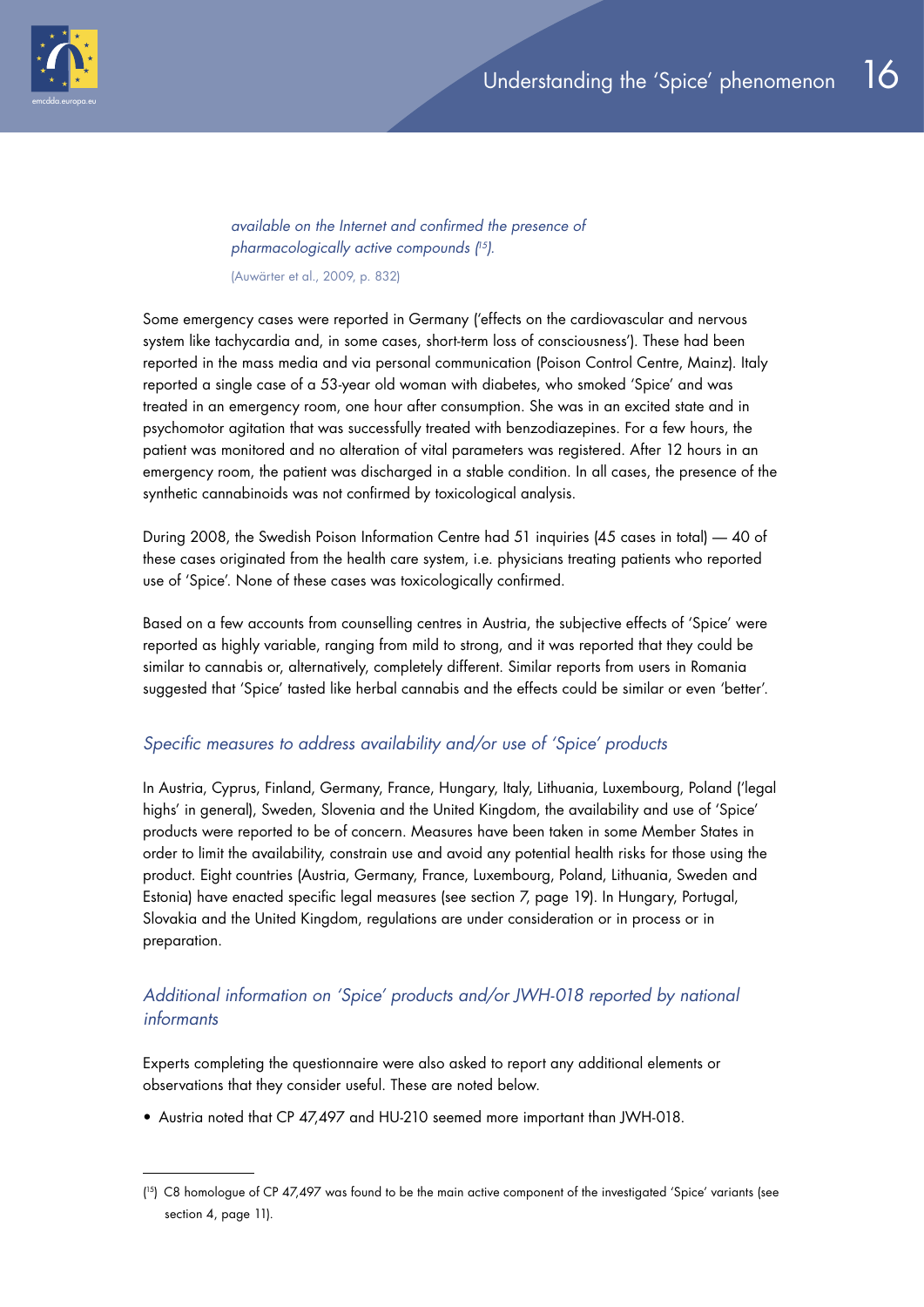

*available on the Internet and confirmed the presence of pharmacologically active compounds ( 15).*

(Auwärter et al., 2009, p. 832)

Some emergency cases were reported in Germany ('effects on the cardiovascular and nervous system like tachycardia and, in some cases, short-term loss of consciousness'). These had been reported in the mass media and via personal communication (Poison Control Centre, Mainz). Italy reported a single case of a 53-year old woman with diabetes, who smoked 'Spice' and was treated in an emergency room, one hour after consumption. She was in an excited state and in psychomotor agitation that was successfully treated with benzodiazepines. For a few hours, the patient was monitored and no alteration of vital parameters was registered. After 12 hours in an emergency room, the patient was discharged in a stable condition. In all cases, the presence of the synthetic cannabinoids was not confirmed by toxicological analysis.

During 2008, the Swedish Poison Information Centre had 51 inquiries (45 cases in total) — 40 of these cases originated from the health care system, i.e. physicians treating patients who reported use of 'Spice'. None of these cases was toxicologically confirmed.

Based on a few accounts from counselling centres in Austria, the subjective effects of 'Spice' were reported as highly variable, ranging from mild to strong, and it was reported that they could be similar to cannabis or, alternatively, completely different. Similar reports from users in Romania suggested that 'Spice' tasted like herbal cannabis and the effects could be similar or even 'better'.

#### *Specific measures to address availability and/or use of 'Spice' products*

In Austria, Cyprus, Finland, Germany, France, Hungary, Italy, Lithuania, Luxembourg, Poland ('legal highs' in general), Sweden, Slovenia and the United Kingdom, the availability and use of 'Spice' products were reported to be of concern. Measures have been taken in some Member States in order to limit the availability, constrain use and avoid any potential health risks for those using the product. Eight countries (Austria, Germany, France, Luxembourg, Poland, Lithuania, Sweden and Estonia) have enacted specific legal measures (see section 7, page 19). In Hungary, Portugal, Slovakia and the United Kingdom, regulations are under consideration or in process or in preparation.

#### *Additional information on 'Spice' products and/or JWH-018 reported by national informants*

Experts completing the questionnaire were also asked to report any additional elements or observations that they consider useful. These are noted below.

• Austria noted that CP 47,497 and HU-210 seemed more important than JWH-018.

<sup>(</sup> 15) C8 homologue of CP 47,497 was found to be the main active component of the investigated 'Spice' variants (see section 4, page 11).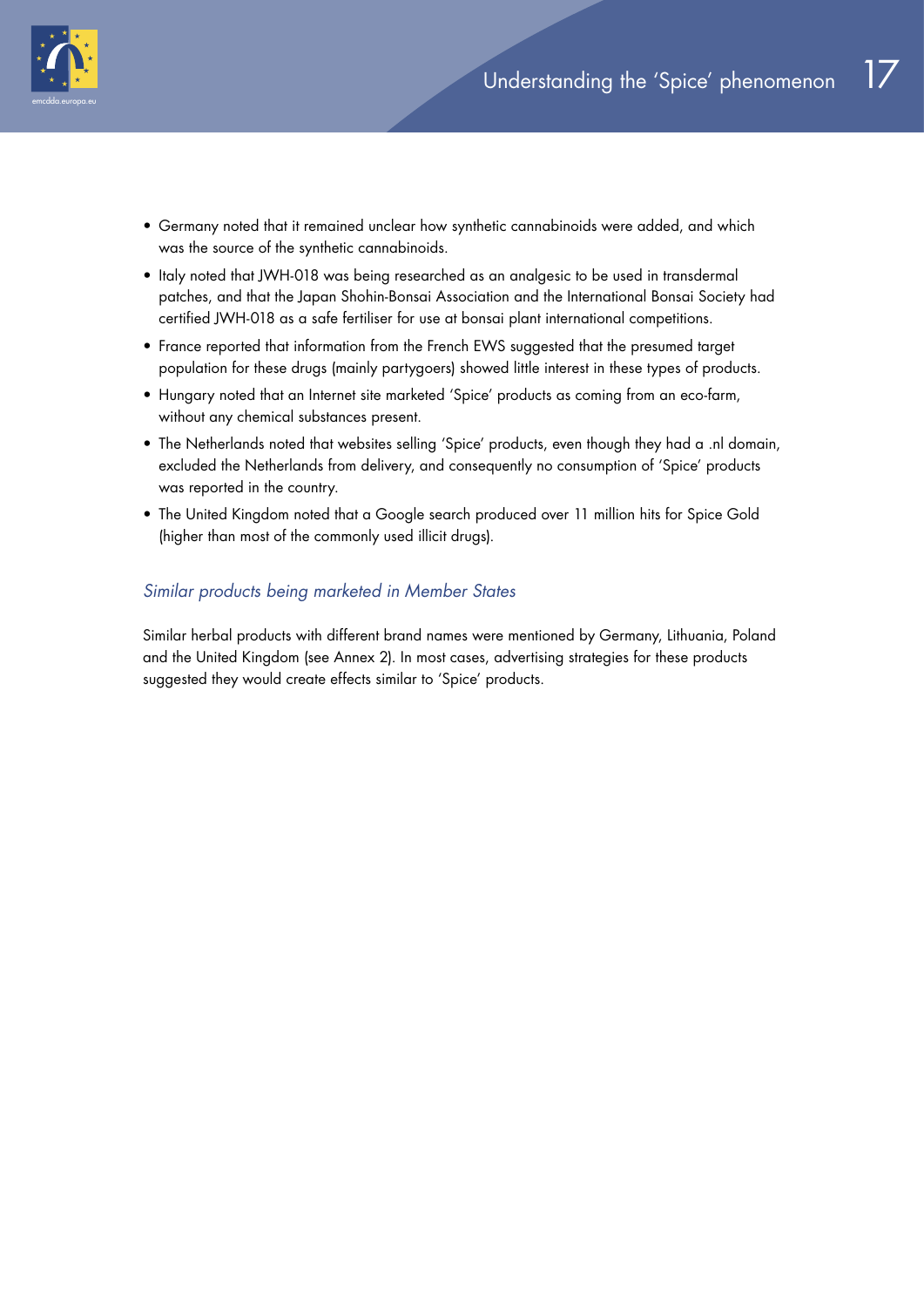

- Germany noted that it remained unclear how synthetic cannabinoids were added, and which was the source of the synthetic cannabinoids.
- Italy noted that JWH-018 was being researched as an analgesic to be used in transdermal patches, and that the Japan Shohin-Bonsai Association and the International Bonsai Society had certified JWH-018 as a safe fertiliser for use at bonsai plant international competitions.
- France reported that information from the French EWS suggested that the presumed target population for these drugs (mainly partygoers) showed little interest in these types of products.
- Hungary noted that an Internet site marketed 'Spice' products as coming from an eco-farm, without any chemical substances present.
- The Netherlands noted that websites selling 'Spice' products, even though they had a .nl domain, excluded the Netherlands from delivery, and consequently no consumption of 'Spice' products was reported in the country.
- The United Kingdom noted that a Google search produced over 11 million hits for Spice Gold (higher than most of the commonly used illicit drugs).

#### *Similar products being marketed in Member States*

Similar herbal products with different brand names were mentioned by Germany, Lithuania, Poland and the United Kingdom (see Annex 2). In most cases, advertising strategies for these products suggested they would create effects similar to 'Spice' products.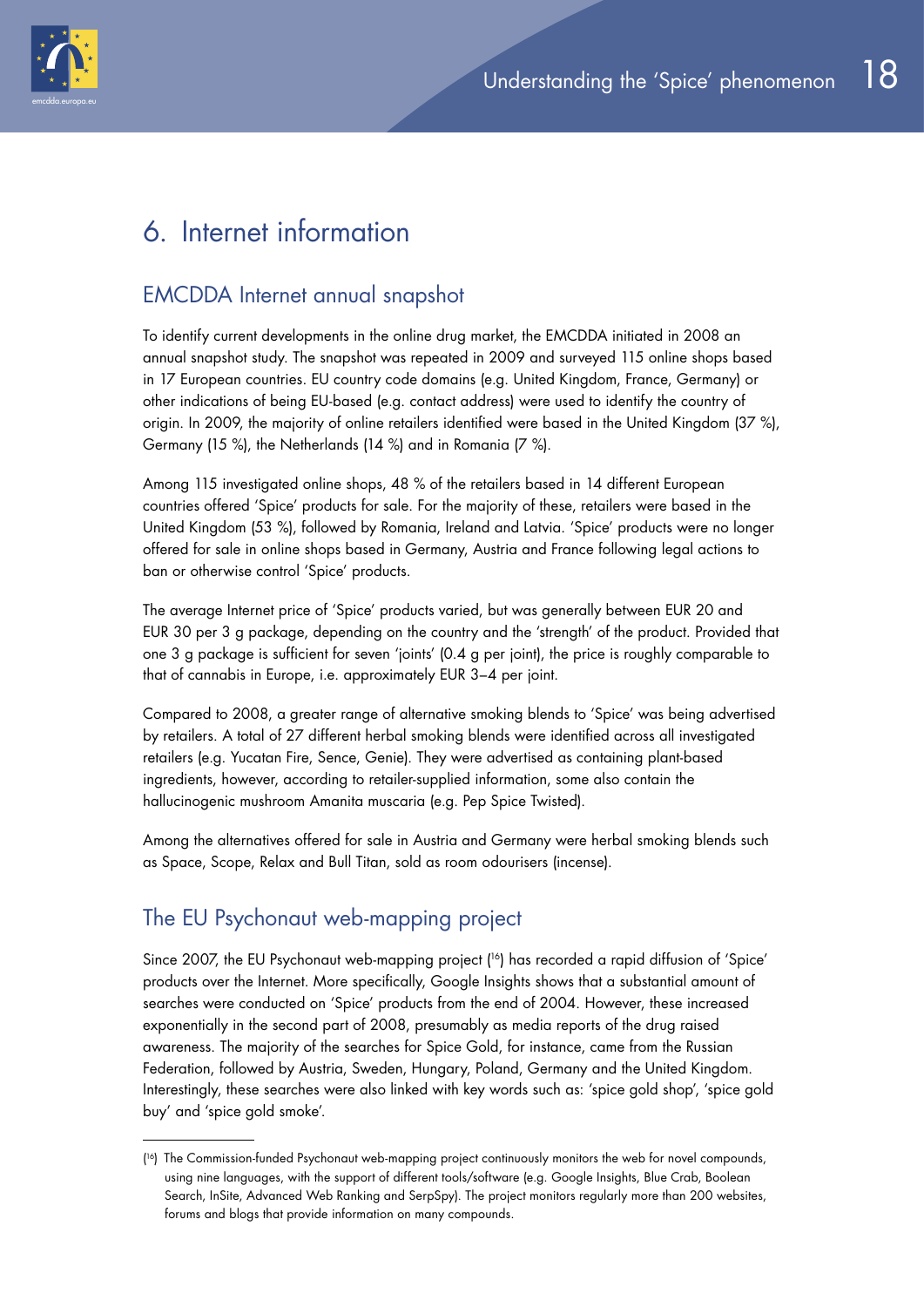

# 6. Internet information

## EMCDDA Internet annual snapshot

To identify current developments in the online drug market, the EMCDDA initiated in 2008 an annual snapshot study. The snapshot was repeated in 2009 and surveyed 115 online shops based in 17 European countries. EU country code domains (e.g. United Kingdom, France, Germany) or other indications of being EU-based (e.g. contact address) were used to identify the country of origin. In 2009, the majority of online retailers identified were based in the United Kingdom (37 %), Germany (15 %), the Netherlands (14 %) and in Romania (7 %).

Among 115 investigated online shops, 48 % of the retailers based in 14 different European countries offered 'Spice' products for sale. For the majority of these, retailers were based in the United Kingdom (53 %), followed by Romania, Ireland and Latvia. 'Spice' products were no longer offered for sale in online shops based in Germany, Austria and France following legal actions to ban or otherwise control 'Spice' products.

The average Internet price of 'Spice' products varied, but was generally between EUR 20 and EUR 30 per 3 g package, depending on the country and the 'strength' of the product. Provided that one 3 g package is sufficient for seven 'joints' (0.4 g per joint), the price is roughly comparable to that of cannabis in Europe, i.e. approximately EUR 3–4 per joint.

Compared to 2008, a greater range of alternative smoking blends to 'Spice' was being advertised by retailers. A total of 27 different herbal smoking blends were identified across all investigated retailers (e.g. Yucatan Fire, Sence, Genie). They were advertised as containing plant-based ingredients, however, according to retailer-supplied information, some also contain the hallucinogenic mushroom Amanita muscaria (e.g. Pep Spice Twisted).

Among the alternatives offered for sale in Austria and Germany were herbal smoking blends such as Space, Scope, Relax and Bull Titan, sold as room odourisers (incense).

## The EU Psychonaut web-mapping project

Since 2007, the EU Psychonaut web-mapping project ( 16) has recorded a rapid diffusion of 'Spice' products over the Internet. More specifically, Google Insights shows that a substantial amount of searches were conducted on 'Spice' products from the end of 2004. However, these increased exponentially in the second part of 2008, presumably as media reports of the drug raised awareness. The majority of the searches for Spice Gold, for instance, came from the Russian Federation, followed by Austria, Sweden, Hungary, Poland, Germany and the United Kingdom. Interestingly, these searches were also linked with key words such as: 'spice gold shop', 'spice gold buy' and 'spice gold smoke'.

<sup>(</sup> 16) The Commission-funded Psychonaut web-mapping project continuously monitors the web for novel compounds, using nine languages, with the support of different tools/software (e.g. Google Insights, Blue Crab, Boolean Search, InSite, Advanced Web Ranking and SerpSpy). The project monitors regularly more than 200 websites, forums and blogs that provide information on many compounds.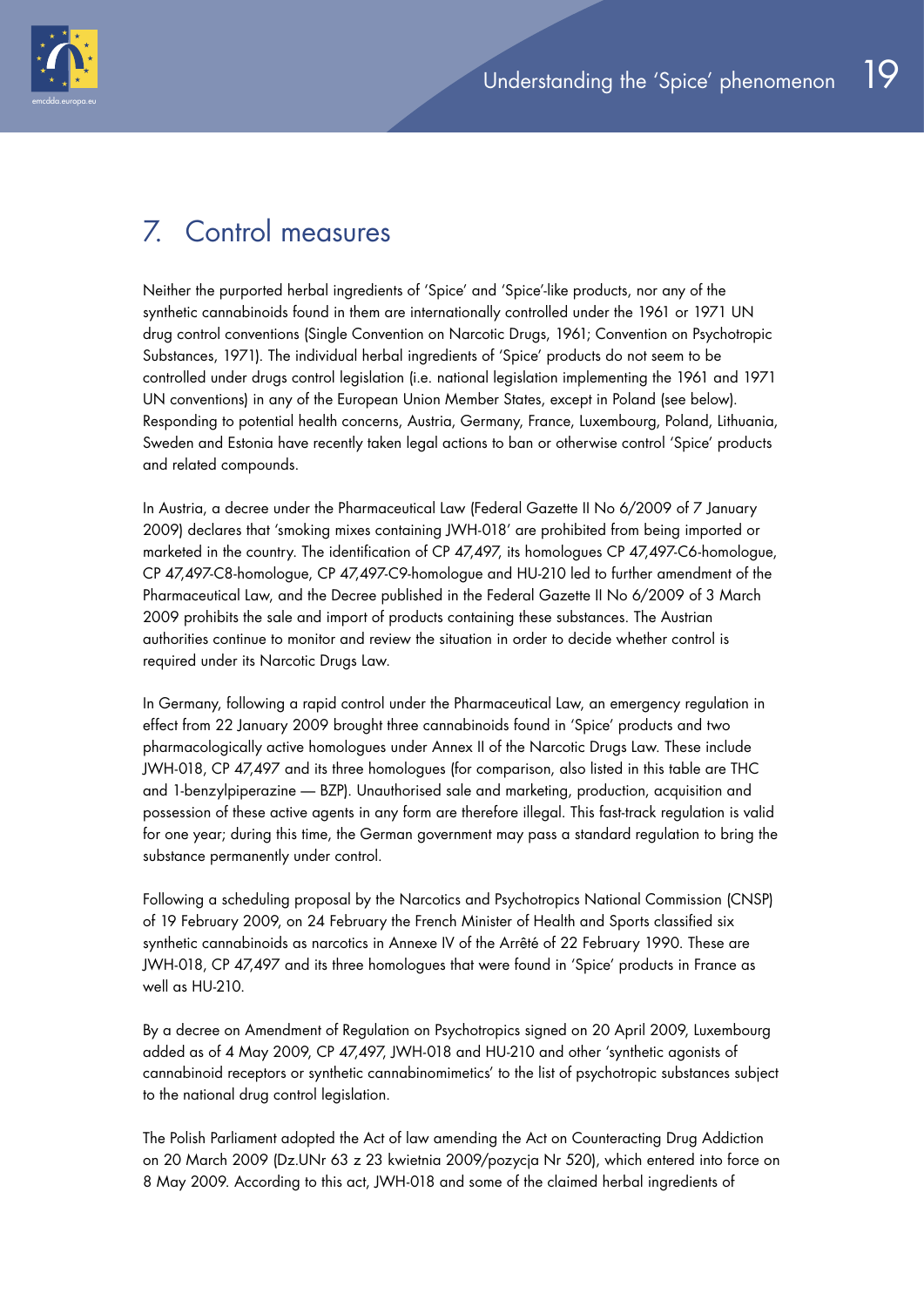

# 7. Control measures

Neither the purported herbal ingredients of 'Spice' and 'Spice'-like products, nor any of the synthetic cannabinoids found in them are internationally controlled under the 1961 or 1971 UN drug control conventions (Single Convention on Narcotic Drugs, 1961; Convention on Psychotropic Substances, 1971). The individual herbal ingredients of 'Spice' products do not seem to be controlled under drugs control legislation (i.e. national legislation implementing the 1961 and 1971 UN conventions) in any of the European Union Member States, except in Poland (see below). Responding to potential health concerns, Austria, Germany, France, Luxembourg, Poland, Lithuania, Sweden and Estonia have recently taken legal actions to ban or otherwise control 'Spice' products and related compounds.

In Austria, a decree under the Pharmaceutical Law (Federal Gazette II No 6/2009 of 7 January 2009) declares that 'smoking mixes containing JWH-018' are prohibited from being imported or marketed in the country. The identification of CP 47,497, its homologues CP 47,497-C6-homologue, CP 47,497-C8-homologue, CP 47,497-C9-homologue and HU-210 led to further amendment of the Pharmaceutical Law, and the Decree published in the Federal Gazette II No 6/2009 of 3 March 2009 prohibits the sale and import of products containing these substances. The Austrian authorities continue to monitor and review the situation in order to decide whether control is required under its Narcotic Drugs Law.

In Germany, following a rapid control under the Pharmaceutical Law, an emergency regulation in effect from 22 January 2009 brought three cannabinoids found in 'Spice' products and two pharmacologically active homologues under Annex II of the Narcotic Drugs Law. These include JWH-018, CP 47,497 and its three homologues (for comparison, also listed in this table are THC and 1-benzylpiperazine — BZP). Unauthorised sale and marketing, production, acquisition and possession of these active agents in any form are therefore illegal. This fast-track regulation is valid for one year; during this time, the German government may pass a standard regulation to bring the substance permanently under control.

Following a scheduling proposal by the Narcotics and Psychotropics National Commission (CNSP) of 19 February 2009, on 24 February the French Minister of Health and Sports classified six synthetic cannabinoids as narcotics in Annexe IV of the Arrêté of 22 February 1990. These are JWH-018, CP 47,497 and its three homologues that were found in 'Spice' products in France as well as HU-210.

By a decree on Amendment of Regulation on Psychotropics signed on 20 April 2009, Luxembourg added as of 4 May 2009, CP 47,497, JWH-018 and HU-210 and other 'synthetic agonists of cannabinoid receptors or synthetic cannabinomimetics' to the list of psychotropic substances subject to the national drug control legislation.

The Polish Parliament adopted the Act of law amending the Act on Counteracting Drug Addiction on 20 March 2009 (Dz.UNr 63 z 23 kwietnia 2009/pozycja Nr 520), which entered into force on 8 May 2009. According to this act, JWH-018 and some of the claimed herbal ingredients of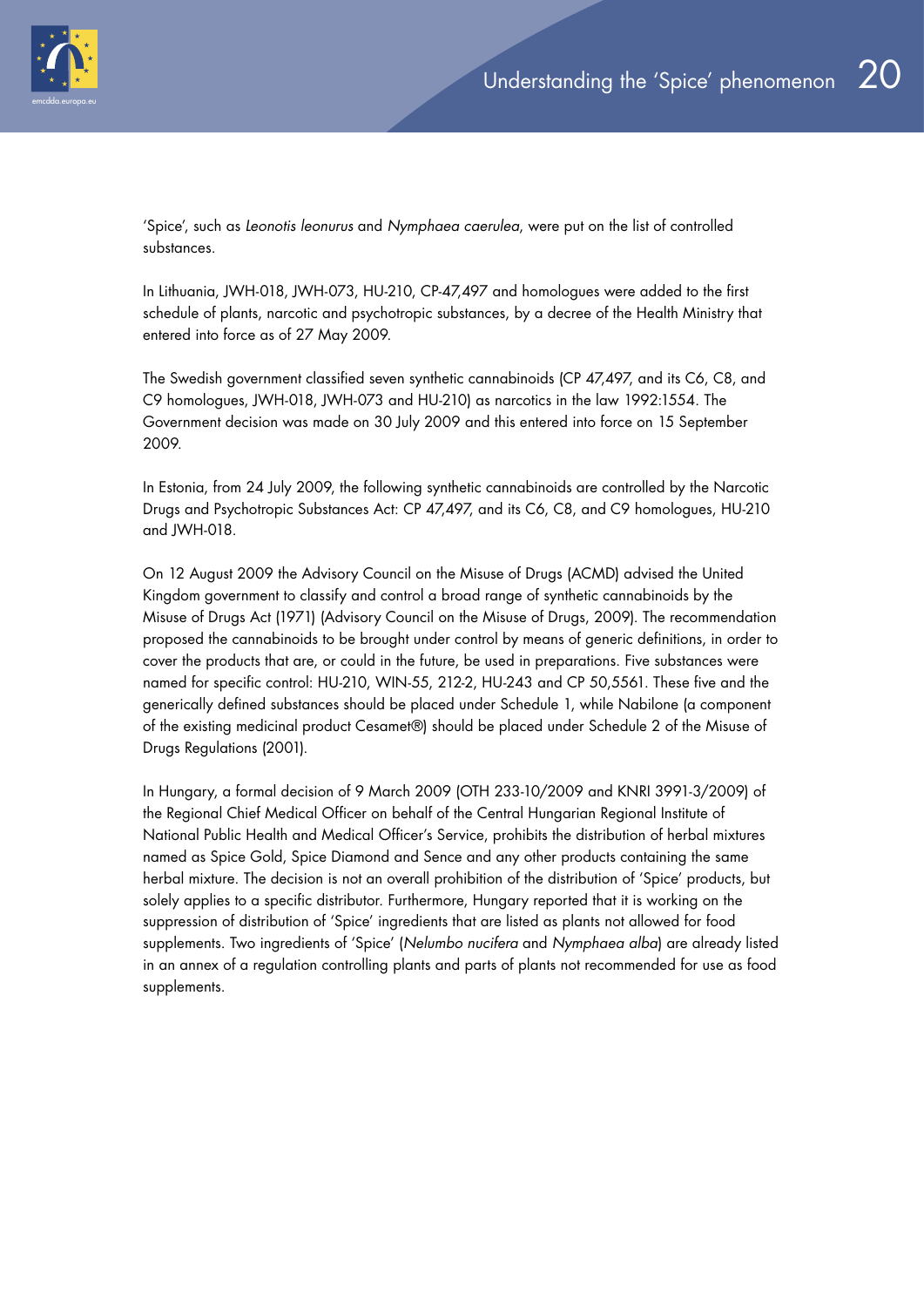

'Spice', such as *Leonotis leonurus* and *Nymphaea caerulea*, were put on the list of controlled substances.

In Lithuania, JWH-018, JWH-073, HU-210, CP-47,497 and homologues were added to the first schedule of plants, narcotic and psychotropic substances, by a decree of the Health Ministry that entered into force as of 27 May 2009.

The Swedish government classified seven synthetic cannabinoids (CP 47,497, and its C6, C8, and C9 homologues, JWH-018, JWH-073 and HU-210) as narcotics in the law 1992:1554. The Government decision was made on 30 July 2009 and this entered into force on 15 September 2009.

In Estonia, from 24 July 2009, the following synthetic cannabinoids are controlled by the Narcotic Drugs and Psychotropic Substances Act: CP 47,497, and its C6, C8, and C9 homologues, HU-210 and JWH-018.

On 12 August 2009 the Advisory Council on the Misuse of Drugs (ACMD) advised the United Kingdom government to classify and control a broad range of synthetic cannabinoids by the Misuse of Drugs Act (1971) (Advisory Council on the Misuse of Drugs, 2009). The recommendation proposed the cannabinoids to be brought under control by means of generic definitions, in order to cover the products that are, or could in the future, be used in preparations. Five substances were named for specific control: HU-210, WIN-55, 212-2, HU-243 and CP 50,5561. These five and the generically defined substances should be placed under Schedule 1, while Nabilone (a component of the existing medicinal product Cesamet®) should be placed under Schedule 2 of the Misuse of Drugs Regulations (2001).

In Hungary, a formal decision of 9 March 2009 (OTH 233-10/2009 and KNRI 3991-3/2009) of the Regional Chief Medical Officer on behalf of the Central Hungarian Regional Institute of National Public Health and Medical Officer's Service, prohibits the distribution of herbal mixtures named as Spice Gold, Spice Diamond and Sence and any other products containing the same herbal mixture. The decision is not an overall prohibition of the distribution of 'Spice' products, but solely applies to a specific distributor. Furthermore, Hungary reported that it is working on the suppression of distribution of 'Spice' ingredients that are listed as plants not allowed for food supplements. Two ingredients of 'Spice' (*Nelumbo nucifera* and *Nymphaea alba*) are already listed in an annex of a regulation controlling plants and parts of plants not recommended for use as food supplements.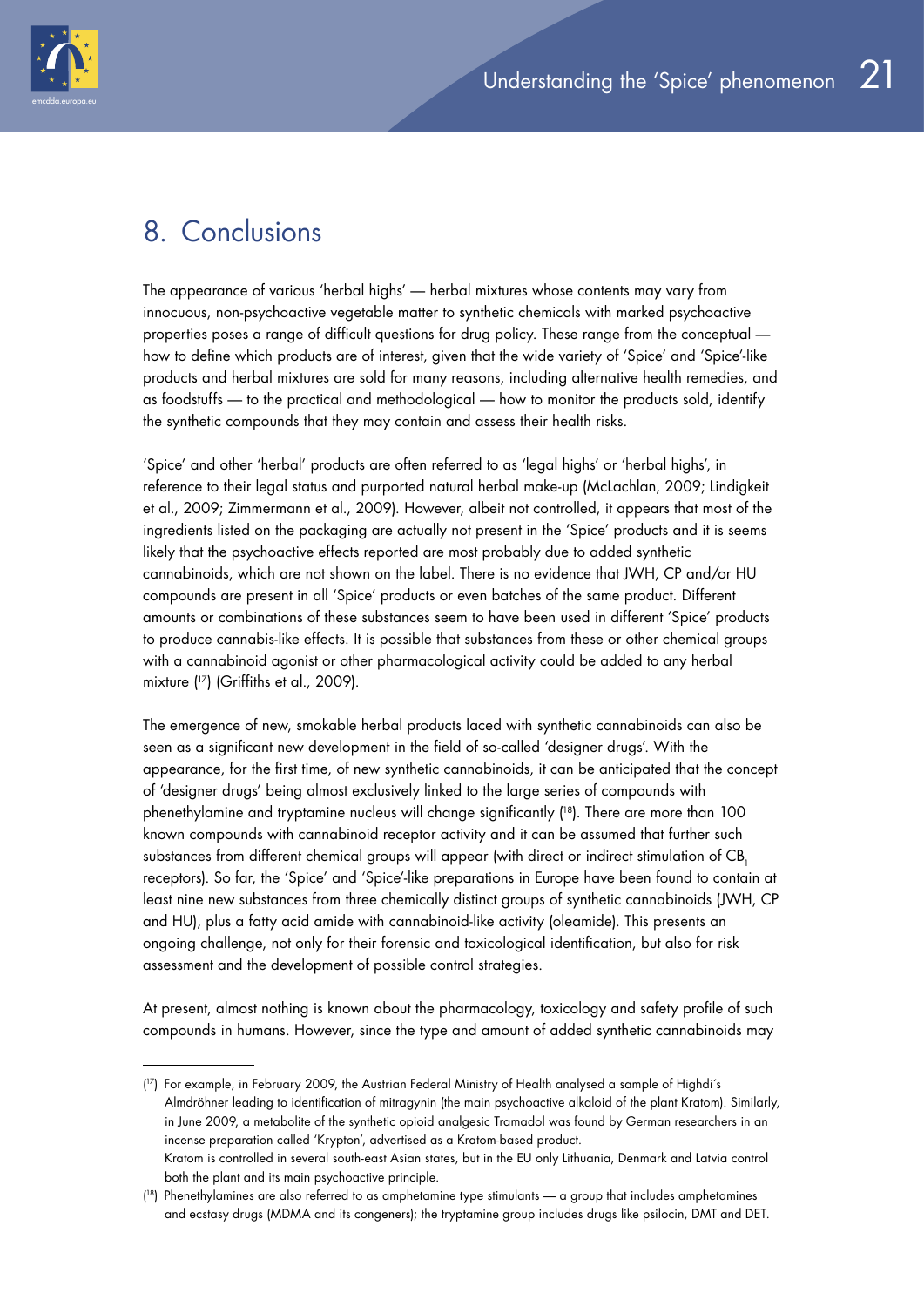



## 8. Conclusions

The appearance of various 'herbal highs' — herbal mixtures whose contents may vary from innocuous, non-psychoactive vegetable matter to synthetic chemicals with marked psychoactive properties poses a range of difficult questions for drug policy. These range from the conceptual how to define which products are of interest, given that the wide variety of 'Spice' and 'Spice'-like products and herbal mixtures are sold for many reasons, including alternative health remedies, and as foodstuffs — to the practical and methodological — how to monitor the products sold, identify the synthetic compounds that they may contain and assess their health risks.

'Spice' and other 'herbal' products are often referred to as 'legal highs' or 'herbal highs', in reference to their legal status and purported natural herbal make-up (McLachlan, 2009; Lindigkeit et al., 2009; Zimmermann et al., 2009). However, albeit not controlled, it appears that most of the ingredients listed on the packaging are actually not present in the 'Spice' products and it is seems likely that the psychoactive effects reported are most probably due to added synthetic cannabinoids, which are not shown on the label. There is no evidence that JWH, CP and/or HU compounds are present in all 'Spice' products or even batches of the same product. Different amounts or combinations of these substances seem to have been used in different 'Spice' products to produce cannabis-like effects. It is possible that substances from these or other chemical groups with a cannabinoid agonist or other pharmacological activity could be added to any herbal mixture ( 17) (Griffiths et al., 2009).

The emergence of new, smokable herbal products laced with synthetic cannabinoids can also be seen as a significant new development in the field of so-called 'designer drugs'. With the appearance, for the first time, of new synthetic cannabinoids, it can be anticipated that the concept of 'designer drugs' being almost exclusively linked to the large series of compounds with phenethylamine and tryptamine nucleus will change significantly ( 18). There are more than 100 known compounds with cannabinoid receptor activity and it can be assumed that further such substances from different chemical groups will appear (with direct or indirect stimulation of CB, receptors). So far, the 'Spice' and 'Spice'-like preparations in Europe have been found to contain at least nine new substances from three chemically distinct groups of synthetic cannabinoids (JWH, CP and HU), plus a fatty acid amide with cannabinoid-like activity (oleamide). This presents an ongoing challenge, not only for their forensic and toxicological identification, but also for risk assessment and the development of possible control strategies.

At present, almost nothing is known about the pharmacology, toxicology and safety profile of such compounds in humans. However, since the type and amount of added synthetic cannabinoids may

<sup>(</sup> 17) For example, in February 2009, the Austrian Federal Ministry of Health analysed a sample of Highdi´s Almdröhner leading to identification of mitragynin (the main psychoactive alkaloid of the plant Kratom). Similarly, in June 2009, a metabolite of the synthetic opioid analgesic Tramadol was found by German researchers in an incense preparation called 'Krypton', advertised as a Kratom-based product. Kratom is controlled in several south-east Asian states, but in the EU only Lithuania, Denmark and Latvia control both the plant and its main psychoactive principle.

<sup>(</sup> 18) Phenethylamines are also referred to as amphetamine type stimulants — a group that includes amphetamines and ecstasy drugs (MDMA and its congeners); the tryptamine group includes drugs like psilocin, DMT and DET.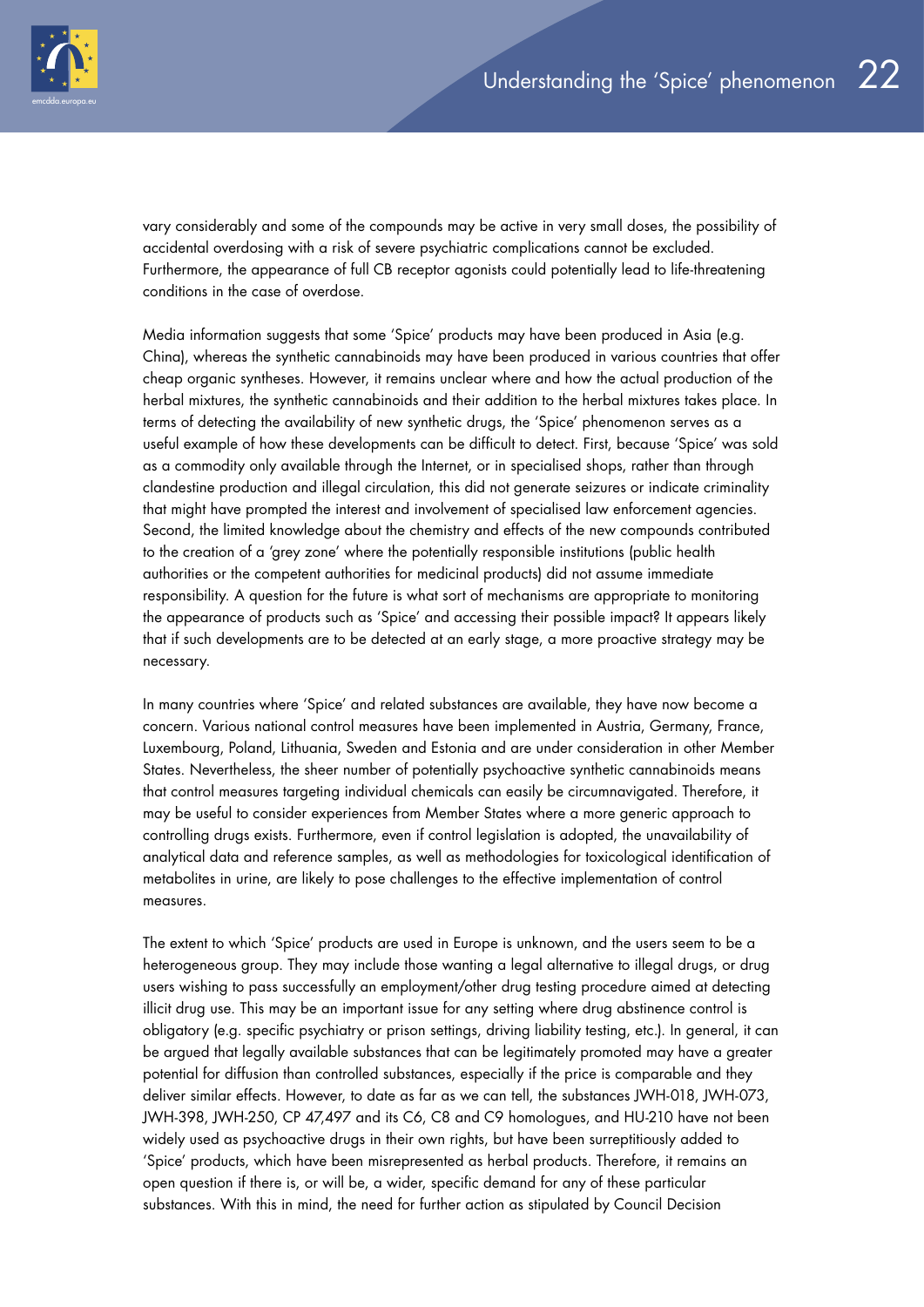vary considerably and some of the compounds may be active in very small doses, the possibility of accidental overdosing with a risk of severe psychiatric complications cannot be excluded. Furthermore, the appearance of full CB receptor agonists could potentially lead to life-threatening conditions in the case of overdose.

Media information suggests that some 'Spice' products may have been produced in Asia (e.g. China), whereas the synthetic cannabinoids may have been produced in various countries that offer cheap organic syntheses. However, it remains unclear where and how the actual production of the herbal mixtures, the synthetic cannabinoids and their addition to the herbal mixtures takes place. In terms of detecting the availability of new synthetic drugs, the 'Spice' phenomenon serves as a useful example of how these developments can be difficult to detect. First, because 'Spice' was sold as a commodity only available through the Internet, or in specialised shops, rather than through clandestine production and illegal circulation, this did not generate seizures or indicate criminality that might have prompted the interest and involvement of specialised law enforcement agencies. Second, the limited knowledge about the chemistry and effects of the new compounds contributed to the creation of a 'grey zone' where the potentially responsible institutions (public health authorities or the competent authorities for medicinal products) did not assume immediate responsibility. A question for the future is what sort of mechanisms are appropriate to monitoring the appearance of products such as 'Spice' and accessing their possible impact? It appears likely that if such developments are to be detected at an early stage, a more proactive strategy may be necessary.

In many countries where 'Spice' and related substances are available, they have now become a concern. Various national control measures have been implemented in Austria, Germany, France, Luxembourg, Poland, Lithuania, Sweden and Estonia and are under consideration in other Member States. Nevertheless, the sheer number of potentially psychoactive synthetic cannabinoids means that control measures targeting individual chemicals can easily be circumnavigated. Therefore, it may be useful to consider experiences from Member States where a more generic approach to controlling drugs exists. Furthermore, even if control legislation is adopted, the unavailability of analytical data and reference samples, as well as methodologies for toxicological identification of metabolites in urine, are likely to pose challenges to the effective implementation of control measures.

The extent to which 'Spice' products are used in Europe is unknown, and the users seem to be a heterogeneous group. They may include those wanting a legal alternative to illegal drugs, or drug users wishing to pass successfully an employment/other drug testing procedure aimed at detecting illicit drug use. This may be an important issue for any setting where drug abstinence control is obligatory (e.g. specific psychiatry or prison settings, driving liability testing, etc.). In general, it can be argued that legally available substances that can be legitimately promoted may have a greater potential for diffusion than controlled substances, especially if the price is comparable and they deliver similar effects. However, to date as far as we can tell, the substances JWH-018, JWH-073, JWH-398, JWH-250, CP 47,497 and its C6, C8 and C9 homologues, and HU-210 have not been widely used as psychoactive drugs in their own rights, but have been surreptitiously added to 'Spice' products, which have been misrepresented as herbal products. Therefore, it remains an open question if there is, or will be, a wider, specific demand for any of these particular substances. With this in mind, the need for further action as stipulated by Council Decision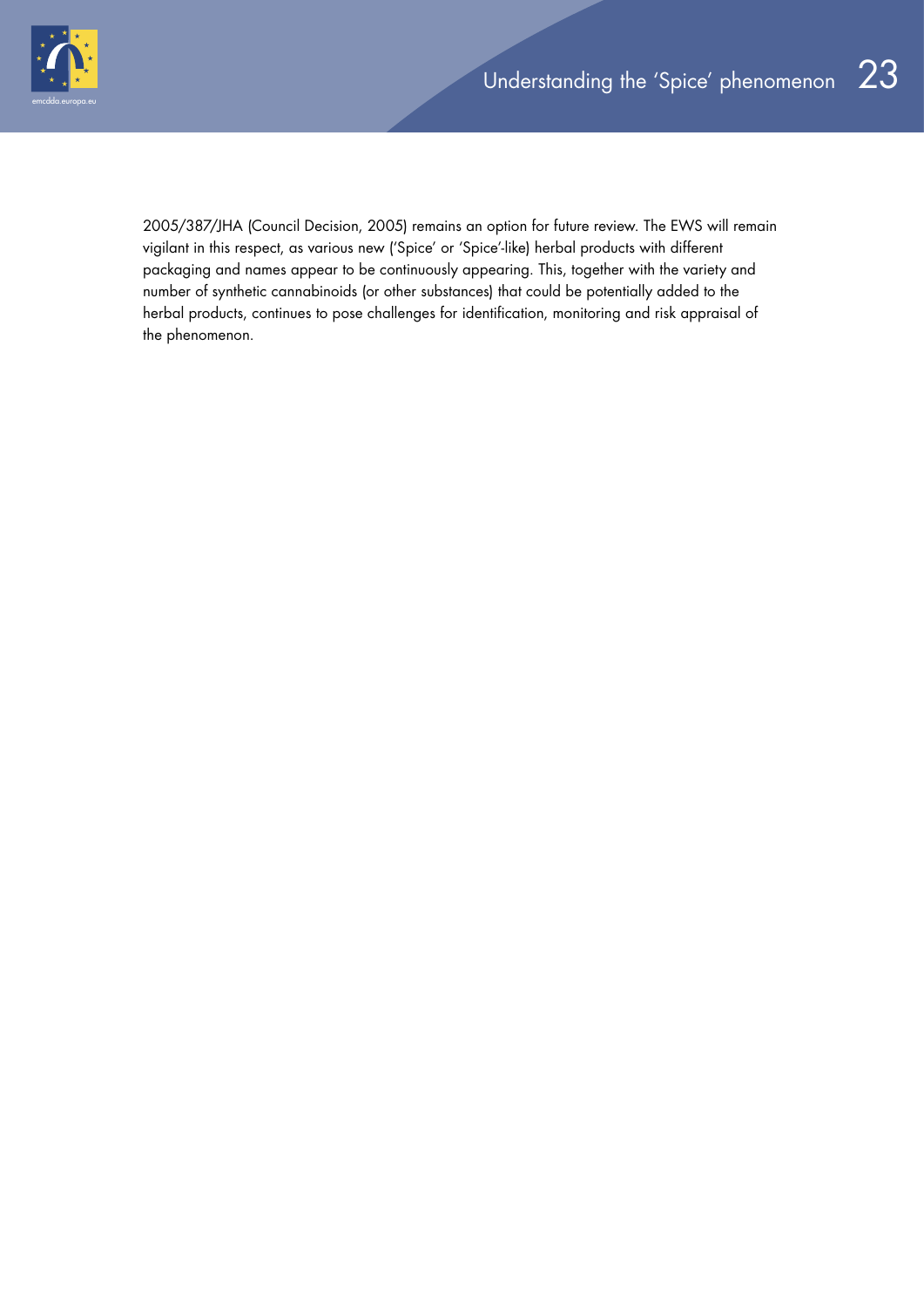

2005/387/JHA (Council Decision, 2005) remains an option for future review. The EWS will remain vigilant in this respect, as various new ('Spice' or 'Spice'-like) herbal products with different packaging and names appear to be continuously appearing. This, together with the variety and number of synthetic cannabinoids (or other substances) that could be potentially added to the herbal products, continues to pose challenges for identification, monitoring and risk appraisal of the phenomenon.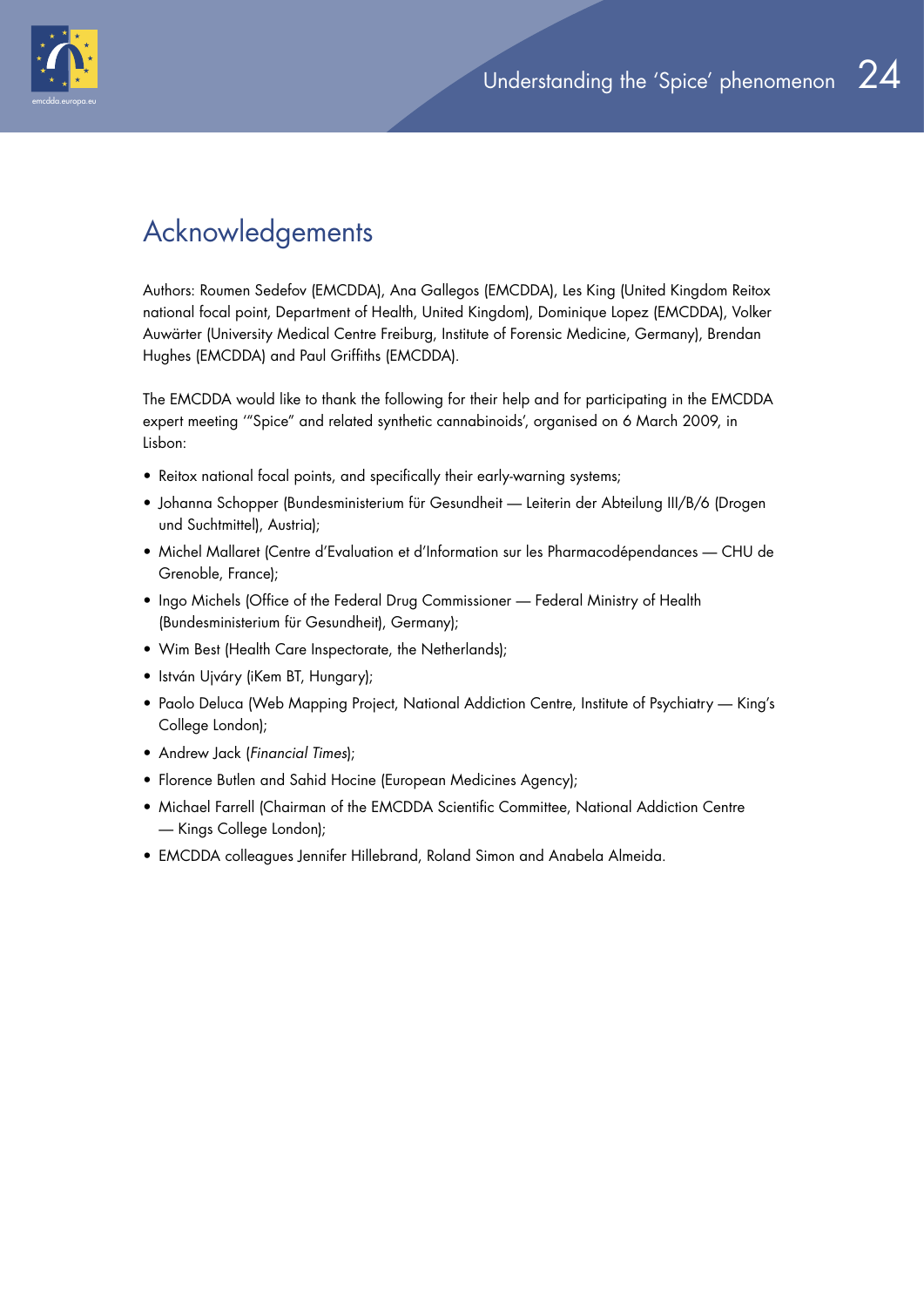

# Acknowledgements

Authors: Roumen Sedefov (EMCDDA), Ana Gallegos (EMCDDA), Les King (United Kingdom Reitox national focal point, Department of Health, United Kingdom), Dominique Lopez (EMCDDA), Volker Auwärter (University Medical Centre Freiburg, Institute of Forensic Medicine, Germany), Brendan Hughes (EMCDDA) and Paul Griffiths (EMCDDA).

The EMCDDA would like to thank the following for their help and for participating in the EMCDDA expert meeting '"Spice" and related synthetic cannabinoids', organised on 6 March 2009, in Lisbon:

- Reitox national focal points, and specifically their early-warning systems;
- Johanna Schopper (Bundesministerium für Gesundheit Leiterin der Abteilung III/B/6 (Drogen und Suchtmittel), Austria);
- Michel Mallaret (Centre d'Evaluation et d'Information sur les Pharmacodépendances CHU de Grenoble, France);
- Ingo Michels (Office of the Federal Drug Commissioner Federal Ministry of Health (Bundesministerium für Gesundheit), Germany);
- Wim Best (Health Care Inspectorate, the Netherlands);
- István Ujváry (iKem BT, Hungary);
- Paolo Deluca (Web Mapping Project, National Addiction Centre, Institute of Psychiatry King's College London);
- Andrew Jack (*Financial Times*);
- Florence Butlen and Sahid Hocine (European Medicines Agency);
- Michael Farrell (Chairman of the EMCDDA Scientific Committee, National Addiction Centre — Kings College London);
- EMCDDA colleagues Jennifer Hillebrand, Roland Simon and Anabela Almeida.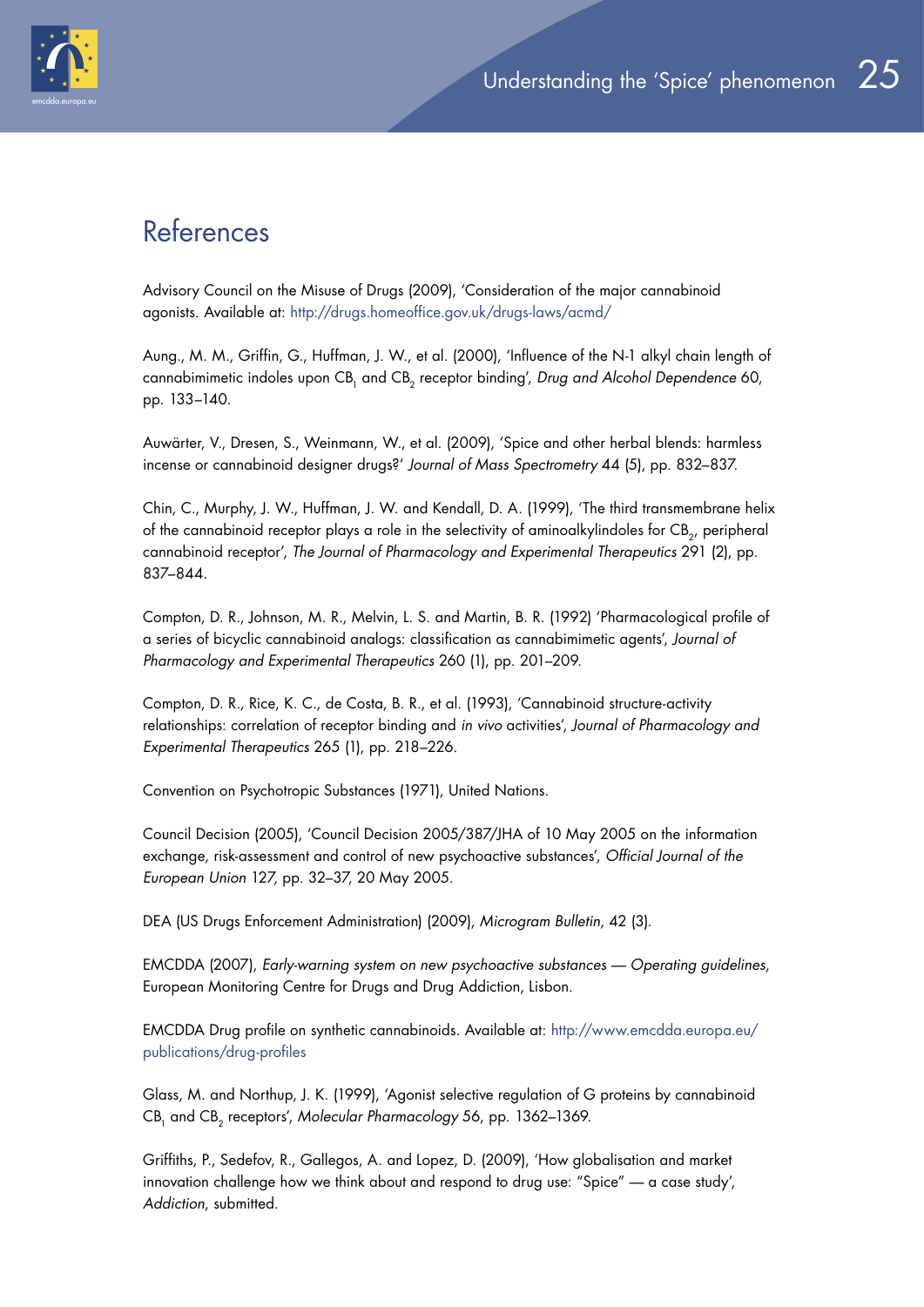

# References

Advisory Council on the Misuse of Drugs (2009), 'Consideration of the major cannabinoid agonists. Available at: http://drugs.homeoffice.gov.uk/drugs-laws/acmd/

Aung., M. M., Griffin, G., Huffman, J. W., et al. (2000), 'Influence of the N-1 alkyl chain length of cannabimimetic indoles upon CB<sub>1</sub> and CB<sub>2</sub> receptor binding', *Drug and Alcohol Dependence* 60, pp. 133–140.

Auwärter, V., Dresen, S., Weinmann, W., et al. (2009), 'Spice and other herbal blends: harmless incense or cannabinoid designer drugs?' *Journal of Mass Spectrometry* 44 (5), pp. 832–837.

Chin, C., Murphy, J. W., Huffman, J. W. and Kendall, D. A. (1999), 'The third transmembrane helix of the cannabinoid receptor plays a role in the selectivity of aminoalkylindoles for CB<sub>2</sub>, peripheral cannabinoid receptor', *The Journal of Pharmacology and Experimental Therapeutics* 291 (2), pp. 837–844.

Compton, D. R., Johnson, M. R., Melvin, L. S. and Martin, B. R. (1992) 'Pharmacological profile of a series of bicyclic cannabinoid analogs: classification as cannabimimetic agents', *Journal of Pharmacology and Experimental Therapeutics* 260 (1), pp. 201–209.

Compton, D. R., Rice, K. C., de Costa, B. R., et al. (1993), 'Cannabinoid structure-activity relationships: correlation of receptor binding and *in vivo* activities', *Journal of Pharmacology and Experimental Therapeutics* 265 (1), pp. 218–226.

Convention on Psychotropic Substances (1971), United Nations.

Council Decision (2005), 'Council Decision 2005/387/JHA of 10 May 2005 on the information exchange, risk-assessment and control of new psychoactive substances', *Official Journal of the European Union* 127, pp. 32–37, 20 May 2005.

DEA (US Drugs Enforcement Administration) (2009), *Microgram Bulletin*, 42 (3).

EMCDDA (2007), *Early-warning system on new psychoactive substances — Operating guidelines*, European Monitoring Centre for Drugs and Drug Addiction, Lisbon.

EMCDDA Drug profile on synthetic cannabinoids. Available at: http://www.emcdda.europa.eu/ publications/drug-profiles

Glass, M. and Northup, J. K. (1999), 'Agonist selective regulation of G proteins by cannabinoid CB<sub>1</sub> and CB<sub>2</sub> receptors', Molecular Pharmacology 56, pp. 1362-1369.

Griffiths, P., Sedefov, R., Gallegos, A. and Lopez, D. (2009), 'How globalisation and market innovation challenge how we think about and respond to drug use: "Spice" — a case study', *Addiction*, submitted.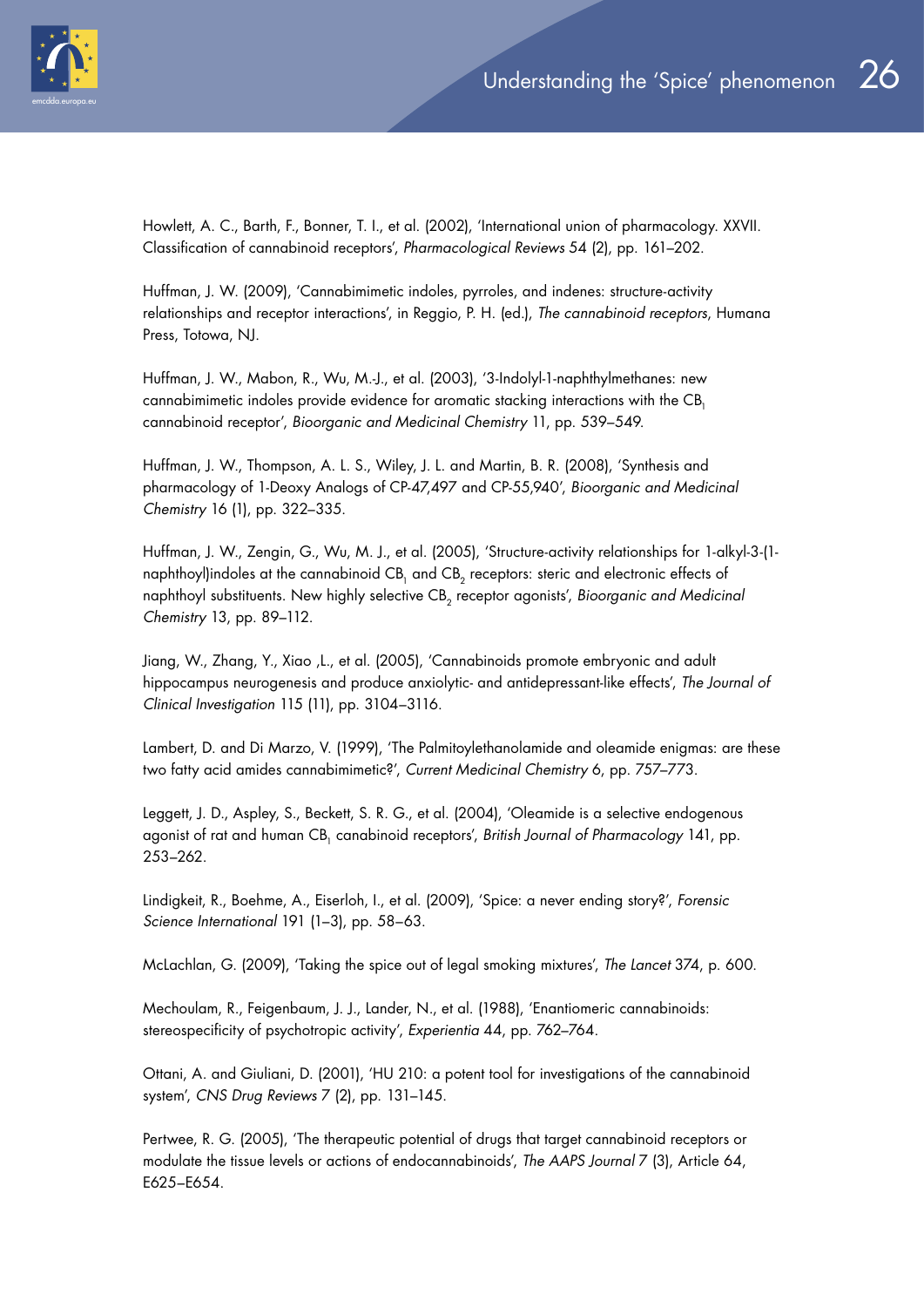

Howlett, A. C., Barth, F., Bonner, T. I., et al. (2002), 'International union of pharmacology. XXVII. Classification of cannabinoid receptors', *Pharmacological Reviews* 54 (2), pp. 161–202.

Huffman, J. W. (2009), 'Cannabimimetic indoles, pyrroles, and indenes: structure-activity relationships and receptor interactions', in Reggio, P. H. (ed.), *The cannabinoid receptors*, Humana Press, Totowa, NJ.

Huffman, J. W., Mabon, R., Wu, M.-J., et al. (2003), '3-Indolyl-1-naphthylmethanes: new cannabimimetic indoles provide evidence for aromatic stacking interactions with the CB, cannabinoid receptor', *Bioorganic and Medicinal Chemistry* 11, pp. 539–549.

Huffman, J. W., Thompson, A. L. S., Wiley, J. L. and Martin, B. R. (2008), 'Synthesis and pharmacology of 1-Deoxy Analogs of CP-47,497 and CP-55,940', *Bioorganic and Medicinal Chemistry* 16 (1), pp. 322–335.

Huffman, J. W., Zengin, G., Wu, M. J., et al. (2005), 'Structure-activity relationships for 1-alkyl-3-(1 naphthoyl)indoles at the cannabinoid CB<sub>1</sub> and CB<sub>2</sub> receptors: steric and electronic effects of naphthoyl substituents. New highly selective CB<sub>2</sub> receptor agonists', *Bioorganic and Medicinal Chemistry* 13, pp. 89–112.

Jiang, W., Zhang, Y., Xiao ,L., et al. (2005), 'Cannabinoids promote embryonic and adult hippocampus neurogenesis and produce anxiolytic- and antidepressant-like effects', *The Journal of Clinical Investigation* 115 (11), pp. 3104–3116.

Lambert, D. and Di Marzo, V. (1999), 'The Palmitoylethanolamide and oleamide enigmas: are these two fatty acid amides cannabimimetic?', *Current Medicinal Chemistry* 6, pp. 757–773.

Leggett, J. D., Aspley, S., Beckett, S. R. G., et al. (2004), 'Oleamide is a selective endogenous agonist of rat and human CB1 canabinoid receptors', *British Journal of Pharmacology* 141, pp. 253–262.

Lindigkeit, R., Boehme, A., Eiserloh, I., et al. (2009), 'Spice: a never ending story?', *Forensic Science International* 191 (1–3), pp. 58–63.

McLachlan, G. (2009), 'Taking the spice out of legal smoking mixtures', *The Lancet* 374, p. 600.

Mechoulam, R., Feigenbaum, J. J., Lander, N., et al. (1988), 'Enantiomeric cannabinoids: stereospecificity of psychotropic activity', *Experientia* 44, pp. 762–764.

Ottani, A. and Giuliani, D. (2001), 'HU 210: a potent tool for investigations of the cannabinoid system', *CNS Drug Reviews* 7 (2), pp. 131–145.

Pertwee, R. G. (2005), 'The therapeutic potential of drugs that target cannabinoid receptors or modulate the tissue levels or actions of endocannabinoids', *The AAPS Journal* 7 (3), Article 64, E625–E654.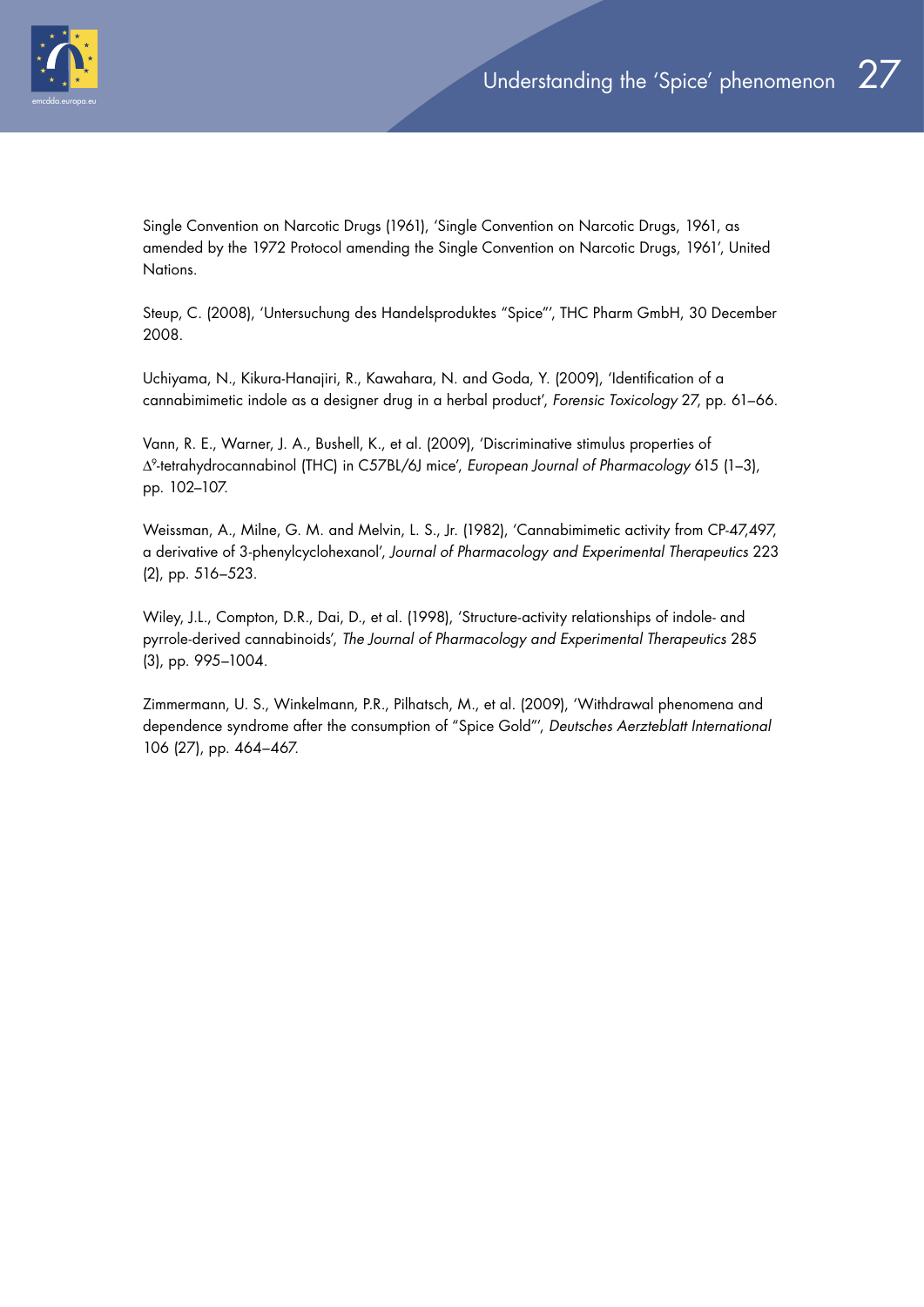

Single Convention on Narcotic Drugs (1961), 'Single Convention on Narcotic Drugs, 1961, as amended by the 1972 Protocol amending the Single Convention on Narcotic Drugs, 1961', United Nations.

Steup, C. (2008), 'Untersuchung des Handelsproduktes "Spice"', THC Pharm GmbH, 30 December 2008.

Uchiyama, N., Kikura-Hanajiri, R., Kawahara, N. and Goda, Y. (2009), 'Identification of a cannabimimetic indole as a designer drug in a herbal product', *Forensic Toxicology* 27, pp. 61–66.

Vann, R. E., Warner, J. A., Bushell, K., et al. (2009), 'Discriminative stimulus properties of Δ9-tetrahydrocannabinol (THC) in C57BL/6J mice', *European Journal of Pharmacology* 615 (1–3), pp. 102–107.

Weissman, A., Milne, G. M. and Melvin, L. S., Jr. (1982), 'Cannabimimetic activity from CP-47,497, a derivative of 3-phenylcyclohexanol', *Journal of Pharmacology and Experimental Therapeutics* 223 (2), pp. 516–523.

Wiley, J.L., Compton, D.R., Dai, D., et al. (1998), 'Structure-activity relationships of indole- and pyrrole-derived cannabinoids', *The Journal of Pharmacology and Experimental Therapeutics* 285 (3), pp. 995–1004.

Zimmermann, U. S., Winkelmann, P.R., Pilhatsch, M., et al. (2009), 'Withdrawal phenomena and dependence syndrome after the consumption of "Spice Gold"', *Deutsches Aerzteblatt International* 106 (27), pp. 464–467.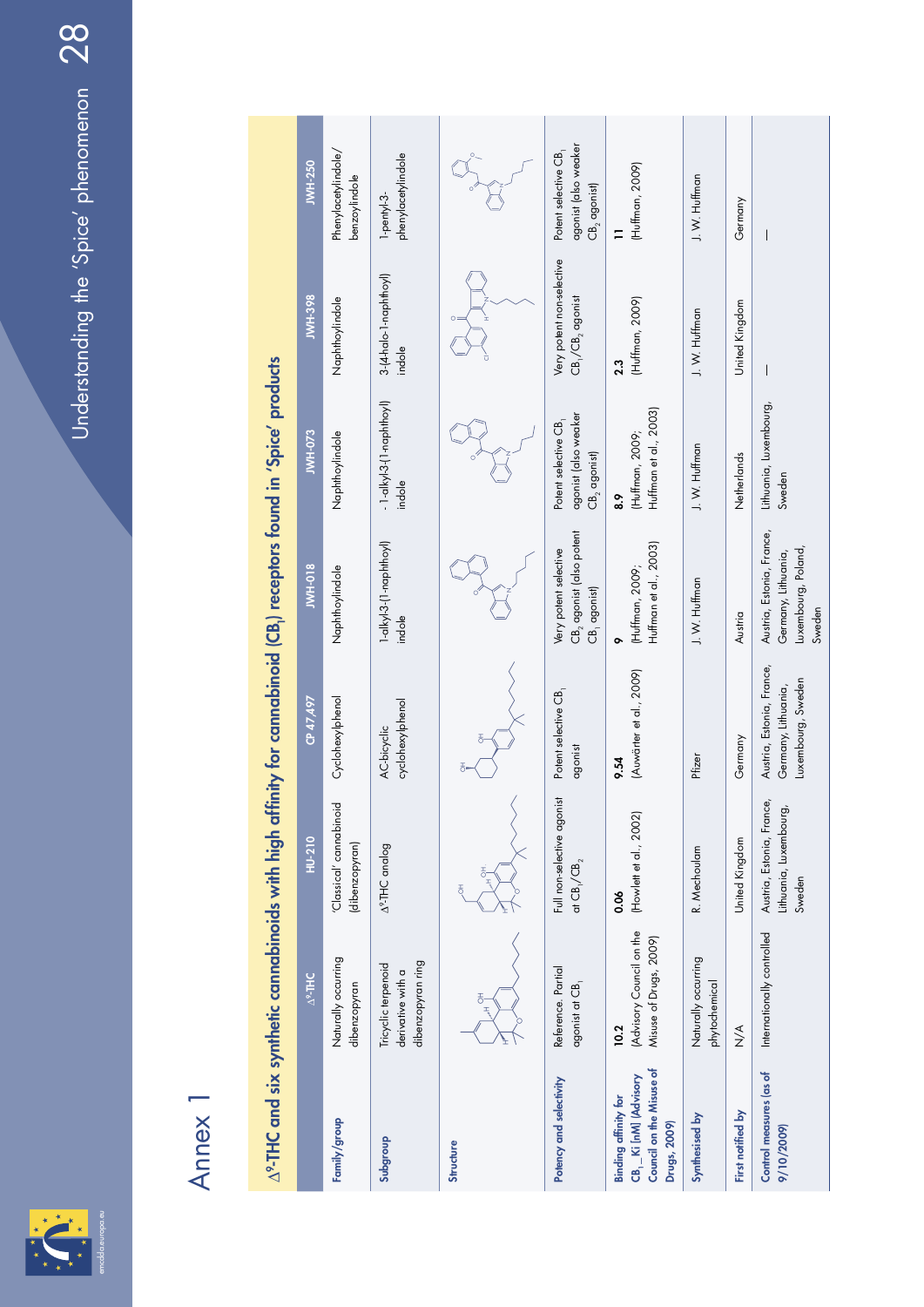

# Annex 1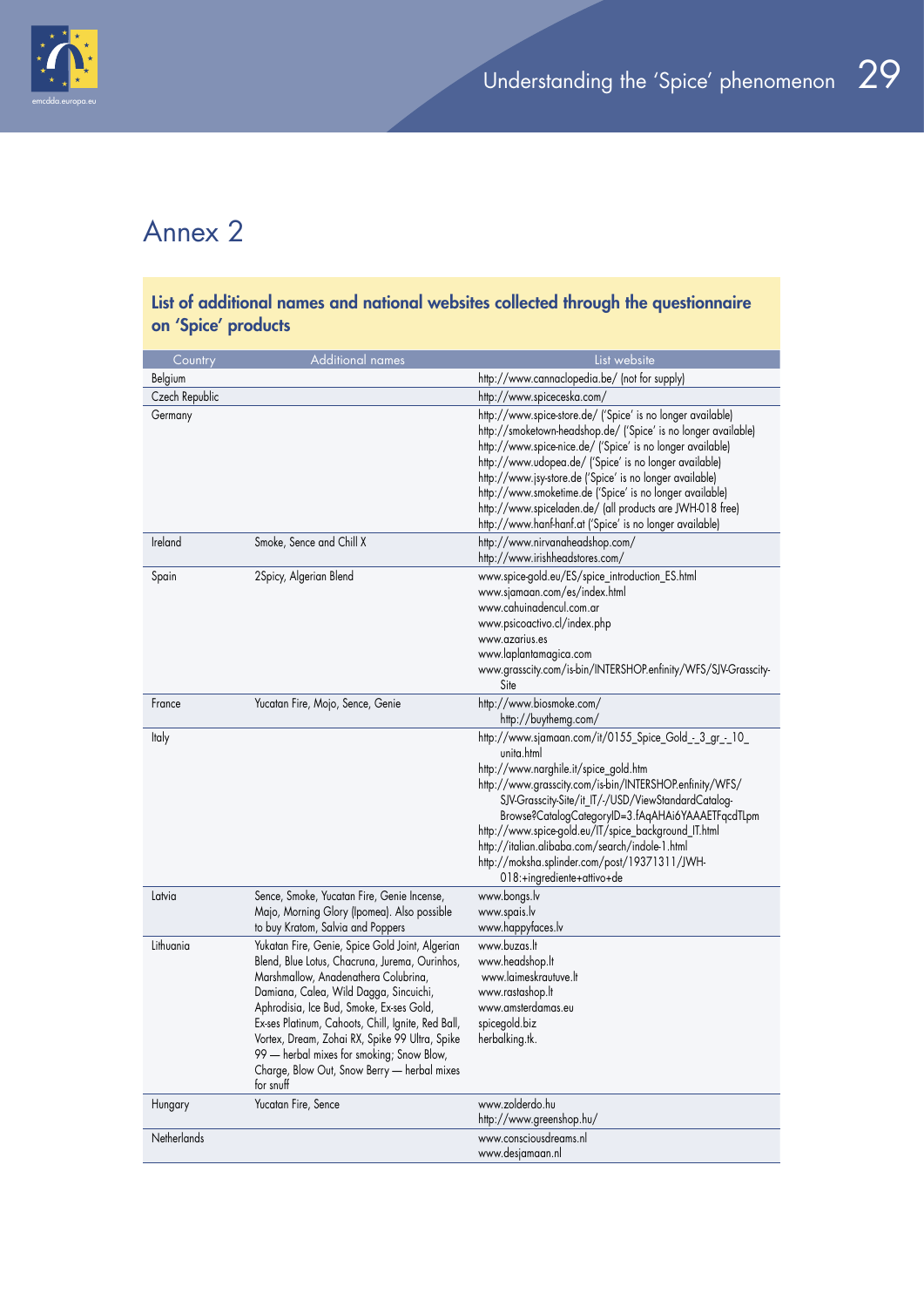

# Annex 2

| List of additional names and national websites collected through the questionnaire |                                                                                                                                                                                                                                                                                                                                                                                                                                                  |                                                                                                                                                                                                                                                                                                                                                                                                                                                                                                        |  |  |
|------------------------------------------------------------------------------------|--------------------------------------------------------------------------------------------------------------------------------------------------------------------------------------------------------------------------------------------------------------------------------------------------------------------------------------------------------------------------------------------------------------------------------------------------|--------------------------------------------------------------------------------------------------------------------------------------------------------------------------------------------------------------------------------------------------------------------------------------------------------------------------------------------------------------------------------------------------------------------------------------------------------------------------------------------------------|--|--|
| on 'Spice' products                                                                |                                                                                                                                                                                                                                                                                                                                                                                                                                                  |                                                                                                                                                                                                                                                                                                                                                                                                                                                                                                        |  |  |
| Country                                                                            | <b>Additional names</b>                                                                                                                                                                                                                                                                                                                                                                                                                          | List website                                                                                                                                                                                                                                                                                                                                                                                                                                                                                           |  |  |
| Belgium                                                                            |                                                                                                                                                                                                                                                                                                                                                                                                                                                  | http://www.cannaclopedia.be/ (not for supply)                                                                                                                                                                                                                                                                                                                                                                                                                                                          |  |  |
| Czech Republic                                                                     |                                                                                                                                                                                                                                                                                                                                                                                                                                                  | http://www.spiceceska.com/                                                                                                                                                                                                                                                                                                                                                                                                                                                                             |  |  |
| Germany                                                                            |                                                                                                                                                                                                                                                                                                                                                                                                                                                  | http://www.spice-store.de/ ('Spice' is no longer available)<br>http://smoketown-headshop.de/ ('Spice' is no longer available)<br>http://www.spice-nice.de/ ('Spice' is no longer available)<br>http://www.udopea.de/ ('Spice' is no longer available)<br>http://www.jsy-store.de ('Spice' is no longer available)<br>http://www.smoketime.de ('Spice' is no longer available)<br>http://www.spiceladen.de/ (all products are JWH-018 free)<br>http://www.hanf-hanf.at ('Spice' is no longer available) |  |  |
| Ireland                                                                            | Smoke, Sence and Chill X                                                                                                                                                                                                                                                                                                                                                                                                                         | http://www.nirvanaheadshop.com/<br>http://www.irishheadstores.com/                                                                                                                                                                                                                                                                                                                                                                                                                                     |  |  |
| Spain                                                                              | 2Spicy, Algerian Blend                                                                                                                                                                                                                                                                                                                                                                                                                           | www.spice-gold.eu/ES/spice_introduction_ES.html<br>www.sjamaan.com/es/index.html<br>www.cahuinadencul.com.ar<br>www.psicoactivo.cl/index.php<br>www.azarius.es<br>www.laplantamagica.com<br>www.grasscity.com/is-bin/INTERSHOP.enfinity/WFS/SJV-Grasscity-<br>Site                                                                                                                                                                                                                                     |  |  |
| France                                                                             | Yucatan Fire, Mojo, Sence, Genie                                                                                                                                                                                                                                                                                                                                                                                                                 | http://www.biosmoke.com/<br>http://buythemg.com/                                                                                                                                                                                                                                                                                                                                                                                                                                                       |  |  |
| Italy                                                                              |                                                                                                                                                                                                                                                                                                                                                                                                                                                  | http://www.sjamaan.com/it/0155_Spice_Gold_-_3_gr_-_10_<br>unita.html<br>http://www.narghile.it/spice_gold.htm<br>http://www.grasscity.com/is-bin/INTERSHOP.enfinity/WFS/<br>SJV-Grasscity-Site/it_IT/-/USD/ViewStandardCatalog-<br>Browse?CatalogCategoryID=3.fAqAHAi6YAAAETFqcdTLpm<br>http://www.spice-gold.eu/IT/spice_background_IT.html<br>http://italian.alibaba.com/search/indole-1.html<br>http://moksha.splinder.com/post/19371311/JWH-<br>018:+ingrediente+attivo+de                         |  |  |
| Latvia                                                                             | Sence, Smoke, Yucatan Fire, Genie Incense,<br>Majo, Morning Glory (Ipomea). Also possible<br>to buy Kratom, Salvia and Poppers                                                                                                                                                                                                                                                                                                                   | www.bongs.lv<br>www.spais.lv<br>www.happyfaces.lv                                                                                                                                                                                                                                                                                                                                                                                                                                                      |  |  |
| Lithuania                                                                          | Yukatan Fire, Genie, Spice Gold Joint, Algerian<br>Blend, Blue Lotus, Chacruna, Jurema, Ourinhos,<br>Marshmallow, Anadenathera Colubrina,<br>Damiana, Calea, Wild Dagga, Sincuichi,<br>Aphrodisia, Ice Bud, Smoke, Ex-ses Gold,<br>Ex-ses Platinum, Cahoots, Chill, Ignite, Red Ball,<br>Vortex, Dream, Zohai RX, Spike 99 Ultra, Spike<br>99 - herbal mixes for smoking; Snow Blow,<br>Charge, Blow Out, Snow Berry - herbal mixes<br>for snuff | www.buzas.lt<br>www.headshop.lt<br>www.laimeskrautuve.lt<br>www.rastashop.lt<br>www.amsterdamas.eu<br>spicegold.biz<br>herbalking.tk.                                                                                                                                                                                                                                                                                                                                                                  |  |  |
| Hungary                                                                            | Yucatan Fire, Sence                                                                                                                                                                                                                                                                                                                                                                                                                              | www.zolderdo.hu<br>http://www.greenshop.hu/                                                                                                                                                                                                                                                                                                                                                                                                                                                            |  |  |
| Netherlands                                                                        |                                                                                                                                                                                                                                                                                                                                                                                                                                                  | www.consciousdreams.nl<br>www.desjamaan.nl                                                                                                                                                                                                                                                                                                                                                                                                                                                             |  |  |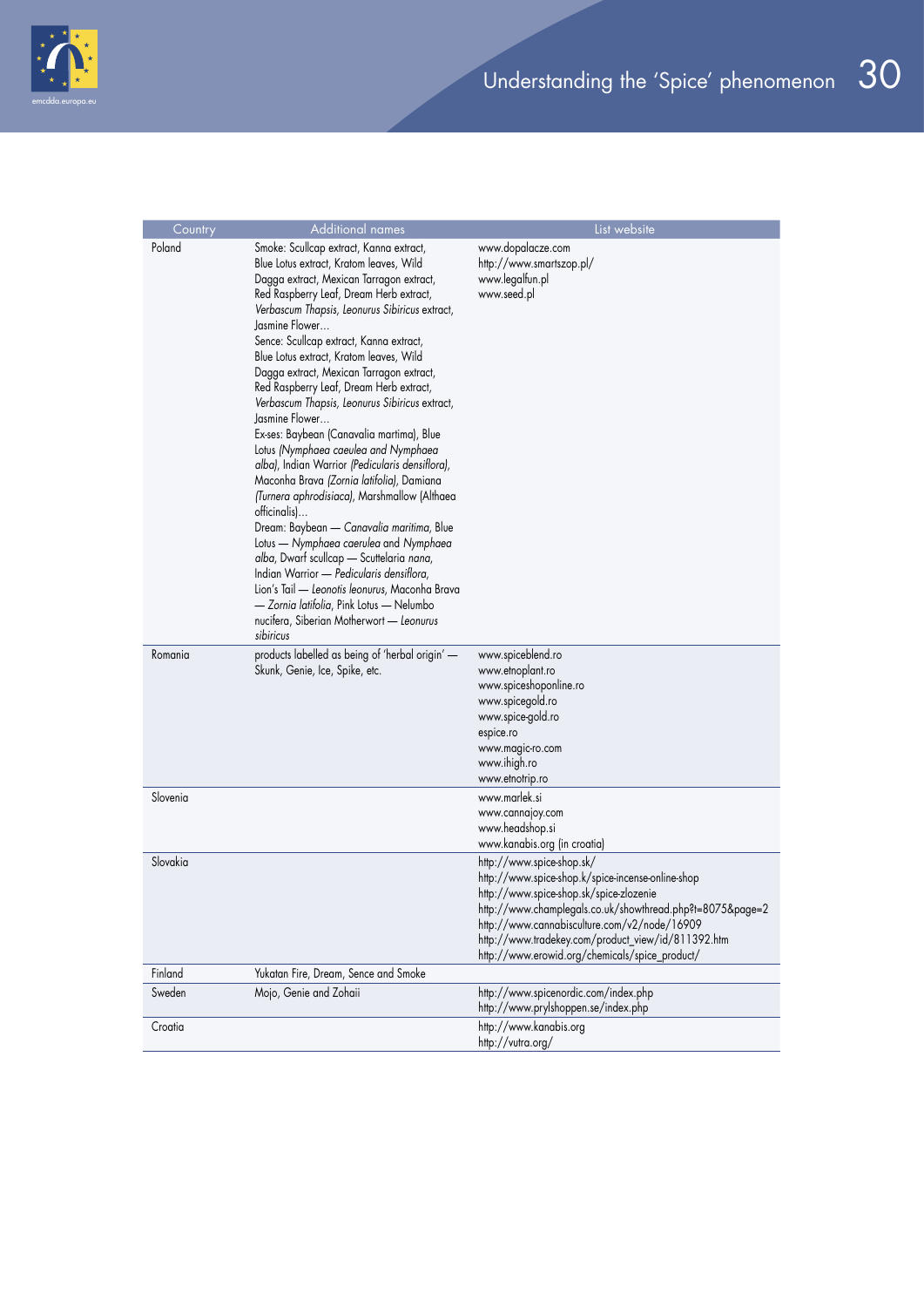

| Country  | <b>Additional names</b>                                                                                                                                                                                                                                                                                                                                                                                                                                                                                                                                                                                                                                                                                                                                                                                                                                                                                                                                                                                                                                                                   | List website                                                                                                                                                                                                                                                                                                                                   |
|----------|-------------------------------------------------------------------------------------------------------------------------------------------------------------------------------------------------------------------------------------------------------------------------------------------------------------------------------------------------------------------------------------------------------------------------------------------------------------------------------------------------------------------------------------------------------------------------------------------------------------------------------------------------------------------------------------------------------------------------------------------------------------------------------------------------------------------------------------------------------------------------------------------------------------------------------------------------------------------------------------------------------------------------------------------------------------------------------------------|------------------------------------------------------------------------------------------------------------------------------------------------------------------------------------------------------------------------------------------------------------------------------------------------------------------------------------------------|
| Poland   | Smoke: Scullcap extract, Kanna extract,<br>Blue Lotus extract, Kratom leaves, Wild<br>Dagga extract, Mexican Tarragon extract,<br>Red Raspberry Leaf, Dream Herb extract,<br>Verbascum Thapsis, Leonurus Sibiricus extract,<br>Jasmine Flower<br>Sence: Scullcap extract, Kanna extract,<br>Blue Lotus extract, Kratom leaves, Wild<br>Dagga extract, Mexican Tarragon extract,<br>Red Raspberry Leaf, Dream Herb extract,<br>Verbascum Thapsis, Leonurus Sibiricus extract,<br>lasmine Flower<br>Ex-ses: Baybean (Canavalia martima), Blue<br>Lotus (Nymphaea caeulea and Nymphaea<br>alba), Indian Warrior (Pedicularis densiflora),<br>Maconha Brava (Zornia latifolia), Damiana<br>(Turnera aphrodisiaca), Marshmallow (Althaea<br>officinalis)<br>Dream: Baybean — Canavalia maritima, Blue<br>Lotus — Nymphaea caerulea and Nymphaea<br>alba, Dwarf scullcap - Scuttelaria nana,<br>Indian Warrior - Pedicularis densiflora,<br>Lion's Tail - Leonotis leonurus, Maconha Brava<br>- Zornia latifolia, Pink Lotus - Nelumbo<br>nucifera, Siberian Motherwort - Leonurus<br>sibiricus | www.dopalacze.com<br>http://www.smartszop.pl/<br>www.legalfun.pl<br>www.seed.pl                                                                                                                                                                                                                                                                |
| Romania  | products labelled as being of 'herbal origin' —<br>Skunk, Genie, Ice, Spike, etc.                                                                                                                                                                                                                                                                                                                                                                                                                                                                                                                                                                                                                                                                                                                                                                                                                                                                                                                                                                                                         | www.spiceblend.ro<br>www.etnoplant.ro<br>www.spiceshoponline.ro<br>www.spicegold.ro<br>www.spice-gold.ro<br>espice.ro<br>www.magic-ro.com<br>www.ihigh.ro<br>www.etnotrip.ro                                                                                                                                                                   |
| Slovenia |                                                                                                                                                                                                                                                                                                                                                                                                                                                                                                                                                                                                                                                                                                                                                                                                                                                                                                                                                                                                                                                                                           | www.marlek.si<br>www.cannajoy.com<br>www.headshop.si<br>www.kanabis.org (in croatia)                                                                                                                                                                                                                                                           |
| Slovakia |                                                                                                                                                                                                                                                                                                                                                                                                                                                                                                                                                                                                                                                                                                                                                                                                                                                                                                                                                                                                                                                                                           | http://www.spice-shop.sk/<br>http://www.spice-shop.k/spice-incense-online-shop<br>http://www.spice-shop.sk/spice-zlozenie<br>http://www.champlegals.co.uk/showthread.php?t=8075&page=2<br>http://www.cannabisculture.com/v2/node/16909<br>http://www.tradekey.com/product_view/id/811392.htm<br>http://www.erowid.org/chemicals/spice_product/ |
| Finland  | Yukatan Fire, Dream, Sence and Smoke                                                                                                                                                                                                                                                                                                                                                                                                                                                                                                                                                                                                                                                                                                                                                                                                                                                                                                                                                                                                                                                      |                                                                                                                                                                                                                                                                                                                                                |
| Sweden   | Mojo, Genie and Zohaii                                                                                                                                                                                                                                                                                                                                                                                                                                                                                                                                                                                                                                                                                                                                                                                                                                                                                                                                                                                                                                                                    | http://www.spicenordic.com/index.php<br>http://www.prylshoppen.se/index.php                                                                                                                                                                                                                                                                    |
| Croatia  |                                                                                                                                                                                                                                                                                                                                                                                                                                                                                                                                                                                                                                                                                                                                                                                                                                                                                                                                                                                                                                                                                           | http://www.kanabis.org<br>http://vutra.org/                                                                                                                                                                                                                                                                                                    |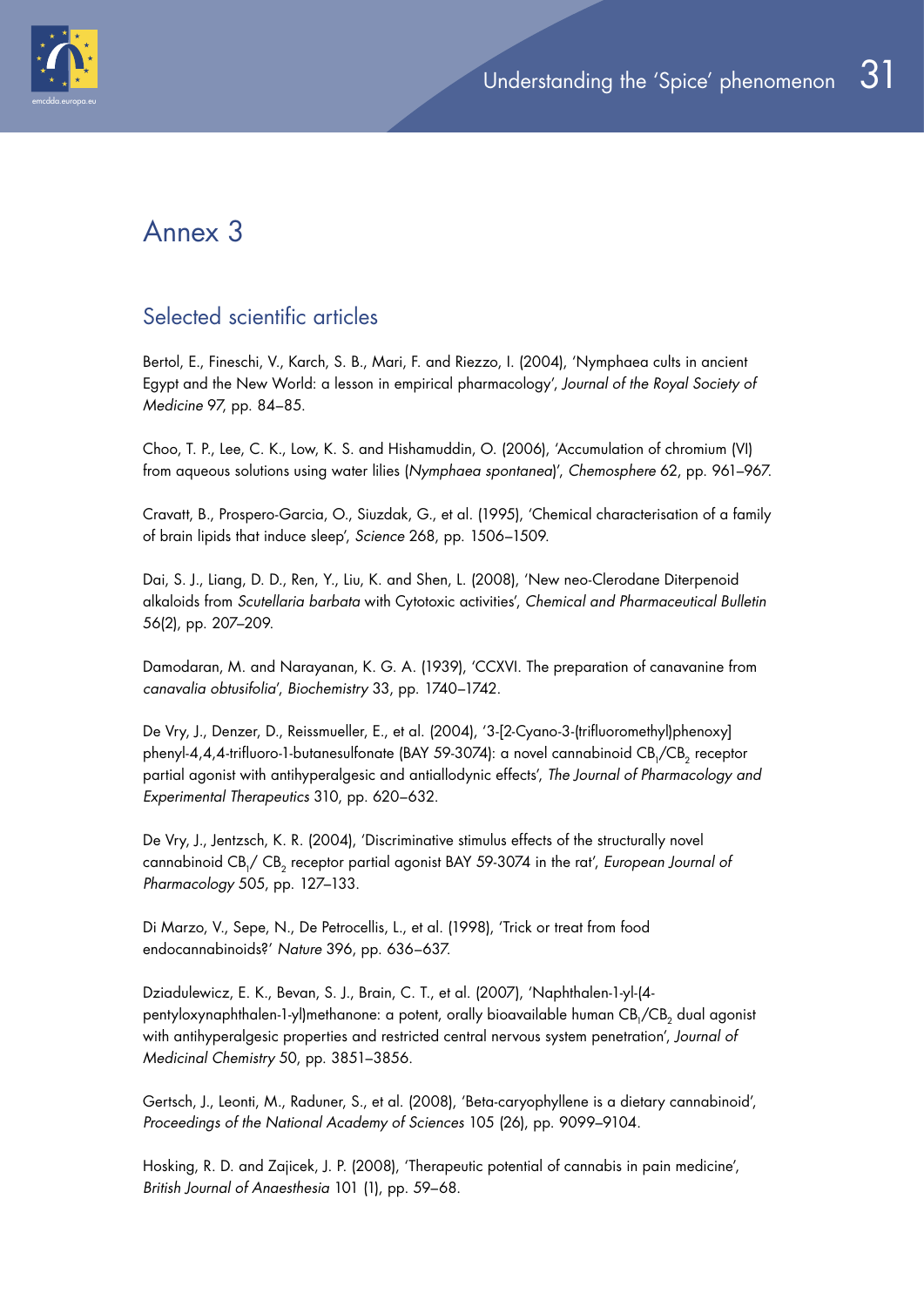

## Annex 3

## Selected scientific articles

Bertol, E., Fineschi, V., Karch, S. B., Mari, F. and Riezzo, I. (2004), 'Nymphaea cults in ancient Egypt and the New World: a lesson in empirical pharmacology', *Journal of the Royal Society of Medicine* 97, pp. 84–85.

Choo, T. P., Lee, C. K., Low, K. S. and Hishamuddin, O. (2006), 'Accumulation of chromium (VI) from aqueous solutions using water lilies (*Nymphaea spontanea*)', *Chemosphere* 62, pp. 961–967.

Cravatt, B., Prospero-Garcia, O., Siuzdak, G., et al. (1995), 'Chemical characterisation of a family of brain lipids that induce sleep', *Science* 268, pp. 1506–1509.

Dai, S. J., Liang, D. D., Ren, Y., Liu, K. and Shen, L. (2008), 'New neo-Clerodane Diterpenoid alkaloids from *Scutellaria barbata* with Cytotoxic activities', *Chemical and Pharmaceutical Bulletin*  56(2), pp. 207–209.

Damodaran, M. and Narayanan, K. G. A. (1939), 'CCXVI. The preparation of canavanine from *canavalia obtusifolia*', *Biochemistry* 33, pp. 1740–1742.

De Vry, J., Denzer, D., Reissmueller, E., et al. (2004), '3-[2-Cyano-3-(trifluoromethyl)phenoxy] phenyl-4,4,4-trifluoro-1-butanesulfonate (BAY 59-3074): a novel cannabinoid CB<sub>1</sub>/CB<sub>2</sub> receptor partial agonist with antihyperalgesic and antiallodynic effects', *The Journal of Pharmacology and Experimental Therapeutics* 310, pp. 620–632.

De Vry, J., Jentzsch, K. R. (2004), 'Discriminative stimulus effects of the structurally novel cannabinoid CB<sub>1</sub>/ CB<sub>2</sub> receptor partial agonist BAY 59-3074 in the rat', *European Journal of Pharmacology* 505, pp. 127–133.

Di Marzo, V., Sepe, N., De Petrocellis, L., et al. (1998), 'Trick or treat from food endocannabinoids?' *Nature* 396, pp. 636–637.

Dziadulewicz, E. K., Bevan, S. J., Brain, C. T., et al. (2007), 'Naphthalen-1-yl-(4 pentyloxynaphthalen-1-yl)methanone: a potent, orally bioavailable human CB<sub>1</sub>/CB<sub>2</sub> dual agonist with antihyperalgesic properties and restricted central nervous system penetration', *Journal of Medicinal Chemistry* 50, pp. 3851–3856.

Gertsch, J., Leonti, M., Raduner, S., et al. (2008), 'Beta-caryophyllene is a dietary cannabinoid', *Proceedings of the National Academy of Sciences* 105 (26), pp. 9099–9104.

Hosking, R. D. and Zajicek, J. P. (2008), 'Therapeutic potential of cannabis in pain medicine', *British Journal of Anaesthesia* 101 (1), pp. 59–68.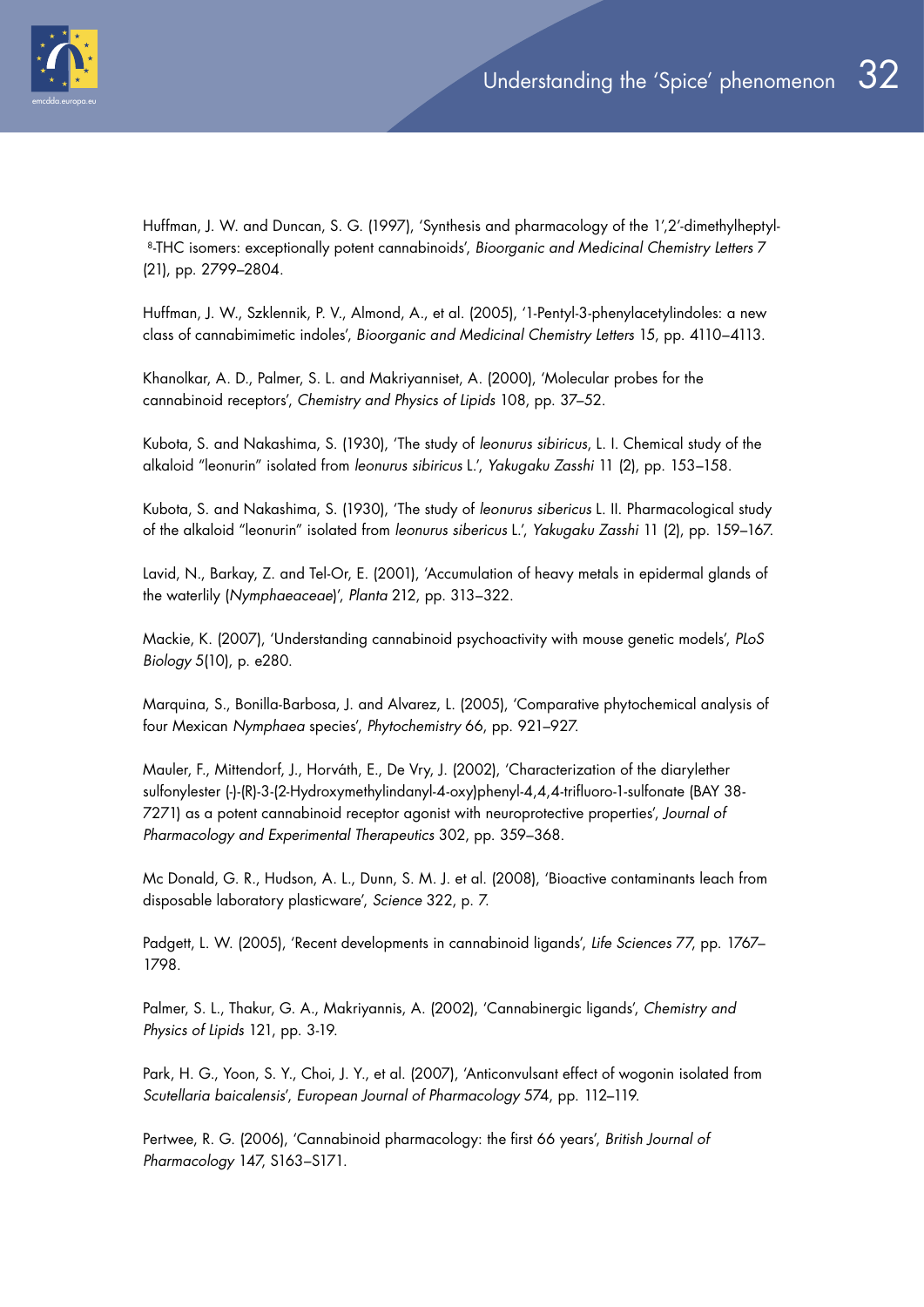Huffman, J. W. and Duncan, S. G. (1997), 'Synthesis and pharmacology of the 1',2'-dimethylheptyl-8-THC isomers: exceptionally potent cannabinoids', *Bioorganic and Medicinal Chemistry Letters* 7 (21), pp. 2799–2804.

Huffman, J. W., Szklennik, P. V., Almond, A., et al. (2005), '1-Pentyl-3-phenylacetylindoles: a new class of cannabimimetic indoles', *Bioorganic and Medicinal Chemistry Letters* 15, pp. 4110–4113.

Khanolkar, A. D., Palmer, S. L. and Makriyanniset, A. (2000), 'Molecular probes for the cannabinoid receptors', *Chemistry and Physics of Lipids* 108, pp. 37–52.

Kubota, S. and Nakashima, S. (1930), 'The study of *leonurus sibiricus*, L. I. Chemical study of the alkaloid "leonurin" isolated from *leonurus sibiricus* L.', *Yakugaku Zasshi* 11 (2), pp. 153–158.

Kubota, S. and Nakashima, S. (1930), 'The study of *leonurus sibericus* L. II. Pharmacological study of the alkaloid "leonurin" isolated from *leonurus sibericus* L.', *Yakugaku Zasshi* 11 (2), pp. 159–167.

Lavid, N., Barkay, Z. and Tel-Or, E. (2001), 'Accumulation of heavy metals in epidermal glands of the waterlily (*Nymphaeaceae*)', *Planta* 212, pp. 313–322.

Mackie, K. (2007), 'Understanding cannabinoid psychoactivity with mouse genetic models', *PLoS Biology* 5(10), p. e280.

Marquina, S., Bonilla-Barbosa, J. and Alvarez, L. (2005), 'Comparative phytochemical analysis of four Mexican *Nymphaea* species', *Phytochemistry* 66, pp. 921–927.

Mauler, F., Mittendorf, J., Horváth, E., De Vry, J. (2002), 'Characterization of the diarylether sulfonylester (-)-(R)-3-(2-Hydroxymethylindanyl-4-oxy)phenyl-4,4,4-trifluoro-1-sulfonate (BAY 38- 7271) as a potent cannabinoid receptor agonist with neuroprotective properties', *Journal of Pharmacology and Experimental Therapeutics* 302, pp. 359–368.

Mc Donald, G. R., Hudson, A. L., Dunn, S. M. J. et al. (2008), 'Bioactive contaminants leach from disposable laboratory plasticware', *Science* 322, p. 7.

Padgett, L. W. (2005), 'Recent developments in cannabinoid ligands', *Life Sciences* 77, pp. 1767– 1798.

Palmer, S. L., Thakur, G. A., Makriyannis, A. (2002), 'Cannabinergic ligands', *Chemistry and Physics of Lipids* 121, pp. 3-19.

Park, H. G., Yoon, S. Y., Choi, J. Y., et al. (2007), 'Anticonvulsant effect of wogonin isolated from *Scutellaria baicalensis*', *European Journal of Pharmacology* 574, pp. 112–119.

Pertwee, R. G. (2006), 'Cannabinoid pharmacology: the first 66 years', *British Journal of Pharmacology* 147, S163–S171.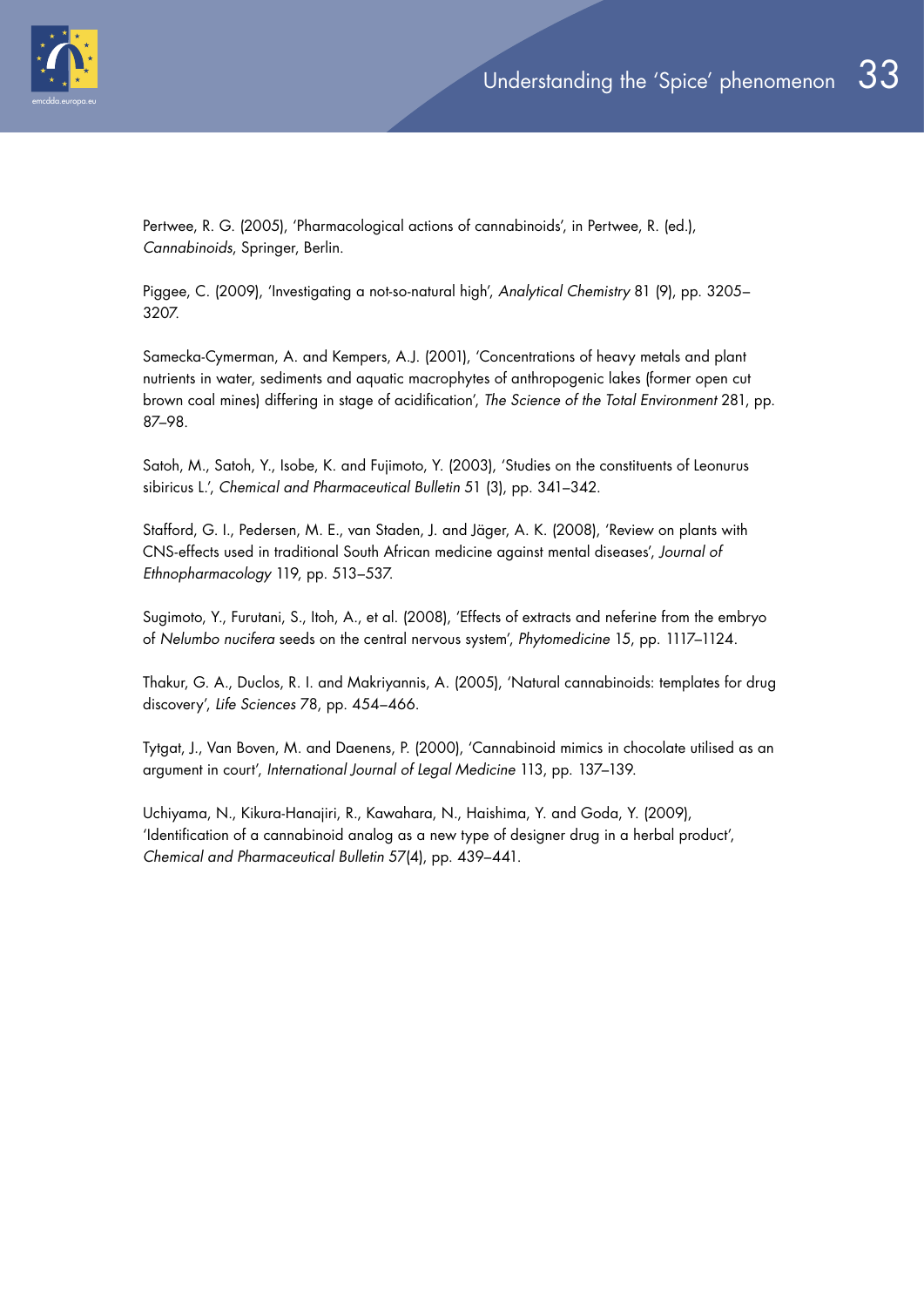

Pertwee, R. G. (2005), 'Pharmacological actions of cannabinoids', in Pertwee, R. (ed.), *Cannabinoids*, Springer, Berlin.

Piggee, C. (2009), 'Investigating a not-so-natural high', *Analytical Chemistry* 81 (9), pp. 3205– 3207.

Samecka-Cymerman, A. and Kempers, A.J. (2001), 'Concentrations of heavy metals and plant nutrients in water, sediments and aquatic macrophytes of anthropogenic lakes (former open cut brown coal mines) differing in stage of acidification', *The Science of the Total Environment* 281, pp. 87–98.

Satoh, M., Satoh, Y., Isobe, K. and Fujimoto, Y. (2003), 'Studies on the constituents of Leonurus sibiricus L.', *Chemical and Pharmaceutical Bulletin* 51 (3), pp. 341–342.

Stafford, G. I., Pedersen, M. E., van Staden, J. and Jäger, A. K. (2008), 'Review on plants with CNS-effects used in traditional South African medicine against mental diseases', *Journal of Ethnopharmacology* 119, pp. 513–537.

Sugimoto, Y., Furutani, S., Itoh, A., et al. (2008), 'Effects of extracts and neferine from the embryo of *Nelumbo nucifera* seeds on the central nervous system', *Phytomedicine* 15, pp. 1117–1124.

Thakur, G. A., Duclos, R. I. and Makriyannis, A. (2005), 'Natural cannabinoids: templates for drug discovery', *Life Sciences* 78, pp. 454–466.

Tytgat, J., Van Boven, M. and Daenens, P. (2000), 'Cannabinoid mimics in chocolate utilised as an argument in court', *International Journal of Legal Medicine* 113, pp. 137–139.

Uchiyama, N., Kikura-Hanajiri, R., Kawahara, N., Haishima, Y. and Goda, Y. (2009), 'Identification of a cannabinoid analog as a new type of designer drug in a herbal product', *Chemical and Pharmaceutical Bulletin* 57(4), pp. 439–441.